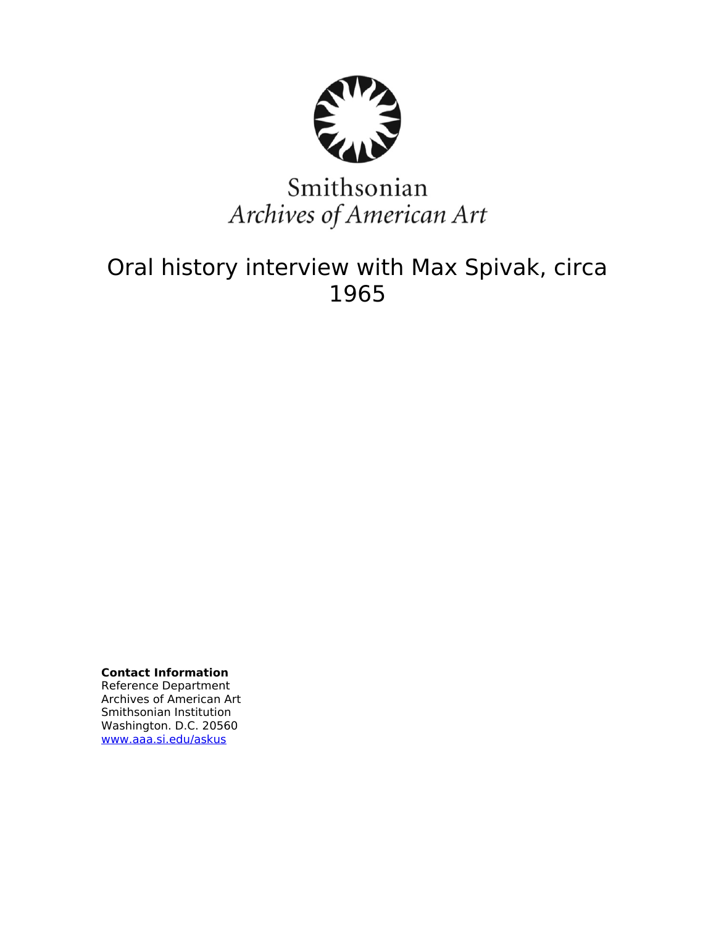

# Smithsonian Archives of American Art

## Oral history interview with Max Spivak, circa 1965

**Contact Information** Reference Department Archives of American Art Smithsonian Institution Washington. D.C. 20560 [www.aaa.si.edu/askus](http://www.aaa.si.edu/askus)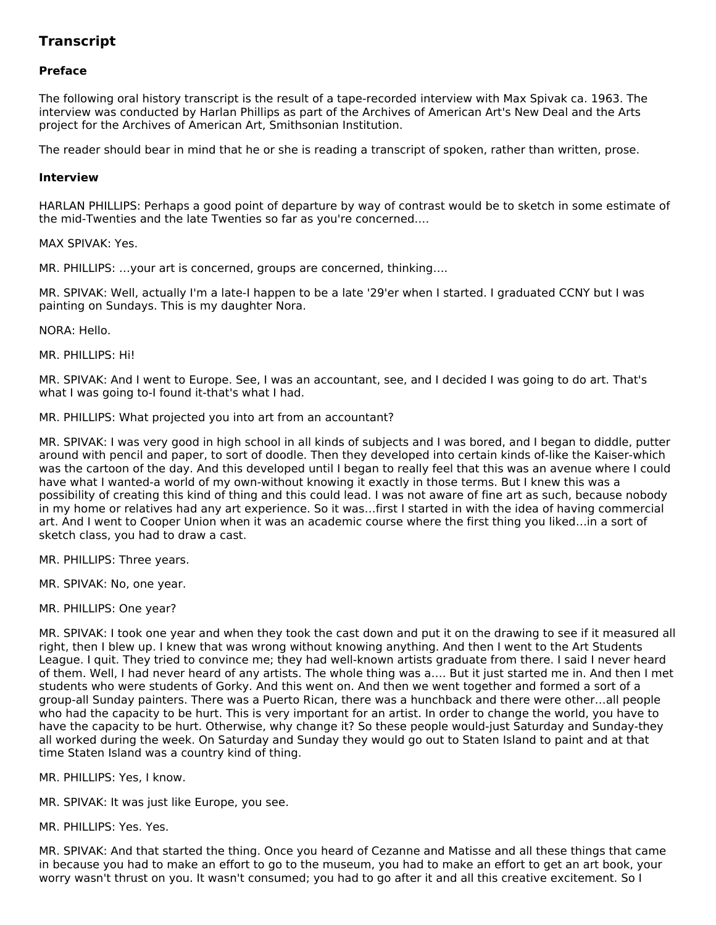### **Transcript**

#### **Preface**

The following oral history transcript is the result of a tape-recorded interview with Max Spivak ca. 1963. The interview was conducted by Harlan Phillips as part of the Archives of American Art's New Deal and the Arts project for the Archives of American Art, Smithsonian Institution.

The reader should bear in mind that he or she is reading a transcript of spoken, rather than written, prose.

#### **Interview**

HARLAN PHILLIPS: Perhaps a good point of departure by way of contrast would be to sketch in some estimate of the mid-Twenties and the late Twenties so far as you're concerned.…

MAX SPIVAK: Yes.

MR. PHILLIPS: …your art is concerned, groups are concerned, thinking….

MR. SPIVAK: Well, actually I'm a late-I happen to be a late '29'er when I started. I graduated CCNY but I was painting on Sundays. This is my daughter Nora.

NORA: Hello.

MR. PHILLIPS: Hi!

MR. SPIVAK: And I went to Europe. See, I was an accountant, see, and I decided I was going to do art. That's what I was going to-I found it-that's what I had.

MR. PHILLIPS: What projected you into art from an accountant?

MR. SPIVAK: I was very good in high school in all kinds of subjects and I was bored, and I began to diddle, putter around with pencil and paper, to sort of doodle. Then they developed into certain kinds of-like the Kaiser-which was the cartoon of the day. And this developed until I began to really feel that this was an avenue where I could have what I wanted-a world of my own-without knowing it exactly in those terms. But I knew this was a possibility of creating this kind of thing and this could lead. I was not aware of fine art as such, because nobody in my home or relatives had any art experience. So it was…first I started in with the idea of having commercial art. And I went to Cooper Union when it was an academic course where the first thing you liked…in a sort of sketch class, you had to draw a cast.

MR. PHILLIPS: Three years.

MR. SPIVAK: No, one year.

MR. PHILLIPS: One year?

MR. SPIVAK: I took one year and when they took the cast down and put it on the drawing to see if it measured all right, then I blew up. I knew that was wrong without knowing anything. And then I went to the Art Students League. I quit. They tried to convince me; they had well-known artists graduate from there. I said I never heard of them. Well, I had never heard of any artists. The whole thing was a…. But it just started me in. And then I met students who were students of Gorky. And this went on. And then we went together and formed a sort of a group-all Sunday painters. There was a Puerto Rican, there was a hunchback and there were other…all people who had the capacity to be hurt. This is very important for an artist. In order to change the world, you have to have the capacity to be hurt. Otherwise, why change it? So these people would-just Saturday and Sunday-they all worked during the week. On Saturday and Sunday they would go out to Staten Island to paint and at that time Staten Island was a country kind of thing.

MR. PHILLIPS: Yes, I know.

MR. SPIVAK: It was just like Europe, you see.

MR. PHILLIPS: Yes. Yes.

MR. SPIVAK: And that started the thing. Once you heard of Cezanne and Matisse and all these things that came in because you had to make an effort to go to the museum, you had to make an effort to get an art book, your worry wasn't thrust on you. It wasn't consumed; you had to go after it and all this creative excitement. So I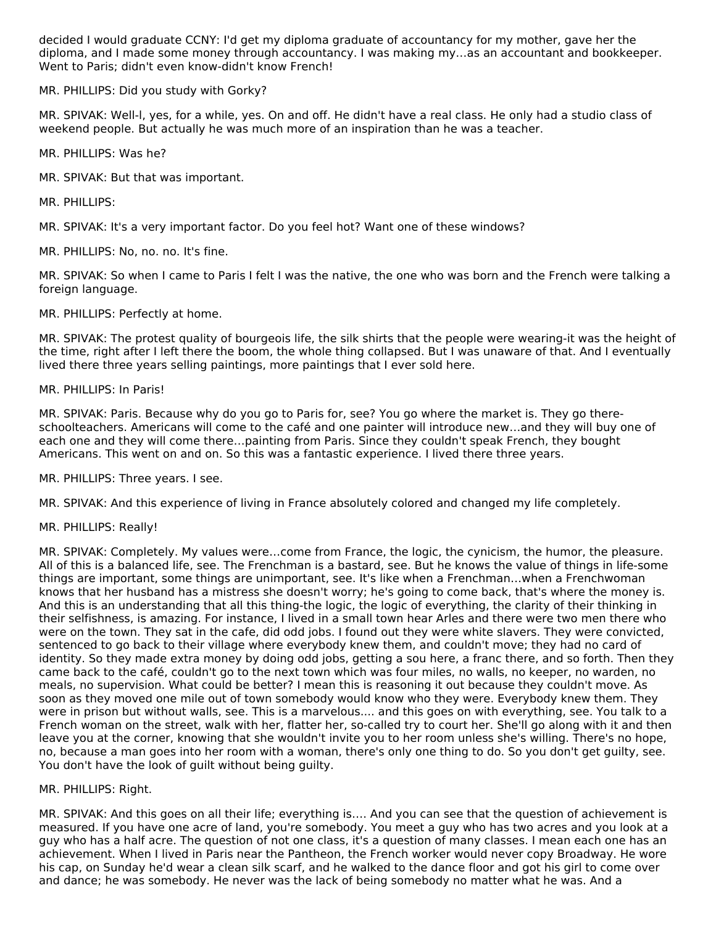decided I would graduate CCNY: I'd get my diploma graduate of accountancy for my mother, gave her the diploma, and I made some money through accountancy. I was making my…as an accountant and bookkeeper. Went to Paris; didn't even know-didn't know French!

MR. PHILLIPS: Did you study with Gorky?

MR. SPIVAK: Well-l, yes, for a while, yes. On and off. He didn't have a real class. He only had a studio class of weekend people. But actually he was much more of an inspiration than he was a teacher.

MR. PHILLIPS: Was he?

MR. SPIVAK: But that was important.

MR. PHILLIPS:

MR. SPIVAK: It's a very important factor. Do you feel hot? Want one of these windows?

MR. PHILLIPS: No, no. no. It's fine.

MR. SPIVAK: So when I came to Paris I felt I was the native, the one who was born and the French were talking a foreign language.

MR. PHILLIPS: Perfectly at home.

MR. SPIVAK: The protest quality of bourgeois life, the silk shirts that the people were wearing-it was the height of the time, right after I left there the boom, the whole thing collapsed. But I was unaware of that. And I eventually lived there three years selling paintings, more paintings that I ever sold here.

#### MR. PHILLIPS: In Paris!

MR. SPIVAK: Paris. Because why do you go to Paris for, see? You go where the market is. They go thereschoolteachers. Americans will come to the café and one painter will introduce new…and they will buy one of each one and they will come there…painting from Paris. Since they couldn't speak French, they bought Americans. This went on and on. So this was a fantastic experience. I lived there three years.

MR. PHILLIPS: Three years. I see.

MR. SPIVAK: And this experience of living in France absolutely colored and changed my life completely.

MR. PHILLIPS: Really!

MR. SPIVAK: Completely. My values were…come from France, the logic, the cynicism, the humor, the pleasure. All of this is a balanced life, see. The Frenchman is a bastard, see. But he knows the value of things in life-some things are important, some things are unimportant, see. It's like when a Frenchman…when a Frenchwoman knows that her husband has a mistress she doesn't worry; he's going to come back, that's where the money is. And this is an understanding that all this thing-the logic, the logic of everything, the clarity of their thinking in their selfishness, is amazing. For instance, I lived in a small town hear Arles and there were two men there who were on the town. They sat in the cafe, did odd jobs. I found out they were white slavers. They were convicted, sentenced to go back to their village where everybody knew them, and couldn't move; they had no card of identity. So they made extra money by doing odd jobs, getting a sou here, a franc there, and so forth. Then they came back to the café, couldn't go to the next town which was four miles, no walls, no keeper, no warden, no meals, no supervision. What could be better? I mean this is reasoning it out because they couldn't move. As soon as they moved one mile out of town somebody would know who they were. Everybody knew them. They were in prison but without walls, see. This is a marvelous.... and this goes on with everything, see. You talk to a French woman on the street, walk with her, flatter her, so-called try to court her. She'll go along with it and then leave you at the corner, knowing that she wouldn't invite you to her room unless she's willing. There's no hope, no, because a man goes into her room with a woman, there's only one thing to do. So you don't get guilty, see. You don't have the look of guilt without being guilty.

#### MR. PHILLIPS: Right.

MR. SPIVAK: And this goes on all their life; everything is…. And you can see that the question of achievement is measured. If you have one acre of land, you're somebody. You meet a guy who has two acres and you look at a guy who has a half acre. The question of not one class, it's a question of many classes. I mean each one has an achievement. When I lived in Paris near the Pantheon, the French worker would never copy Broadway. He wore his cap, on Sunday he'd wear a clean silk scarf, and he walked to the dance floor and got his girl to come over and dance; he was somebody. He never was the lack of being somebody no matter what he was. And a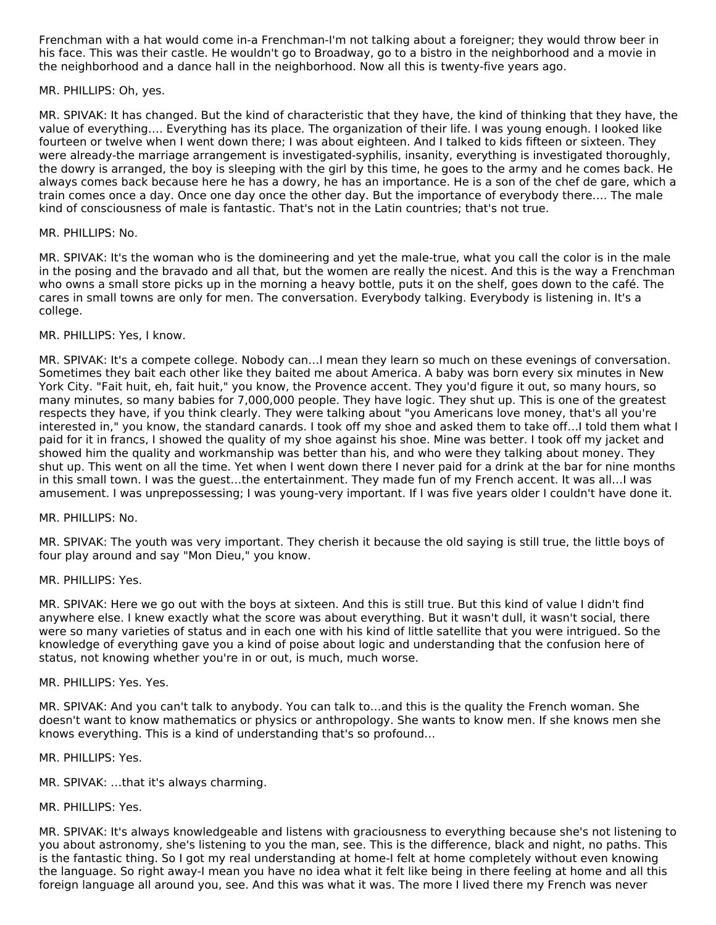Frenchman with a hat would come in-a Frenchman-I'm not talking about a foreigner; they would throw beer in his face. This was their castle. He wouldn't go to Broadway, go to a bistro in the neighborhood and a movie in the neighborhood and a dance hall in the neighborhood. Now all this is twenty-five years ago.

#### MR. PHILLIPS: Oh, yes.

MR. SPIVAK: It has changed. But the kind of characteristic that they have, the kind of thinking that they have, the value of everything…. Everything has its place. The organization of their life. I was young enough. I looked like fourteen or twelve when I went down there; I was about eighteen. And I talked to kids fifteen or sixteen. They were already-the marriage arrangement is investigated-syphilis, insanity, everything is investigated thoroughly, the dowry is arranged, the boy is sleeping with the girl by this time, he goes to the army and he comes back. He always comes back because here he has a dowry, he has an importance. He is a son of the chef de gare, which a train comes once a day. Once one day once the other day. But the importance of everybody there…. The male kind of consciousness of male is fantastic. That's not in the Latin countries; that's not true.

#### MR. PHILLIPS: No.

MR. SPIVAK: It's the woman who is the domineering and yet the male-true, what you call the color is in the male in the posing and the bravado and all that, but the women are really the nicest. And this is the way a Frenchman who owns a small store picks up in the morning a heavy bottle, puts it on the shelf, goes down to the café. The cares in small towns are only for men. The conversation. Everybody talking. Everybody is listening in. It's a college.

#### MR. PHILLIPS: Yes, I know.

MR. SPIVAK: It's a compete college. Nobody can…I mean they learn so much on these evenings of conversation. Sometimes they bait each other like they baited me about America. A baby was born every six minutes in New York City. "Fait huit, eh, fait huit," you know, the Provence accent. They you'd figure it out, so many hours, so many minutes, so many babies for 7,000,000 people. They have logic. They shut up. This is one of the greatest respects they have, if you think clearly. They were talking about "you Americans love money, that's all you're interested in," you know, the standard canards. I took off my shoe and asked them to take off…I told them what I paid for it in francs, I showed the quality of my shoe against his shoe. Mine was better. I took off my jacket and showed him the quality and workmanship was better than his, and who were they talking about money. They shut up. This went on all the time. Yet when I went down there I never paid for a drink at the bar for nine months in this small town. I was the guest…the entertainment. They made fun of my French accent. It was all…I was amusement. I was unprepossessing; I was young-very important. If I was five years older I couldn't have done it.

#### MR. PHILLIPS: No.

MR. SPIVAK: The youth was very important. They cherish it because the old saying is still true, the little boys of four play around and say "Mon Dieu," you know.

#### MR. PHILLIPS: Yes.

MR. SPIVAK: Here we go out with the boys at sixteen. And this is still true. But this kind of value I didn't find anywhere else. I knew exactly what the score was about everything. But it wasn't dull, it wasn't social, there were so many varieties of status and in each one with his kind of little satellite that you were intrigued. So the knowledge of everything gave you a kind of poise about logic and understanding that the confusion here of status, not knowing whether you're in or out, is much, much worse.

#### MR. PHILLIPS: Yes. Yes.

MR. SPIVAK: And you can't talk to anybody. You can talk to…and this is the quality the French woman. She doesn't want to know mathematics or physics or anthropology. She wants to know men. If she knows men she knows everything. This is a kind of understanding that's so profound…

MR. PHILLIPS: Yes.

MR. SPIVAK: …that it's always charming.

#### MR. PHILLIPS: Yes.

MR. SPIVAK: It's always knowledgeable and listens with graciousness to everything because she's not listening to you about astronomy, she's listening to you the man, see. This is the difference, black and night, no paths. This is the fantastic thing. So I got my real understanding at home-I felt at home completely without even knowing the language. So right away-I mean you have no idea what it felt like being in there feeling at home and all this foreign language all around you, see. And this was what it was. The more I lived there my French was never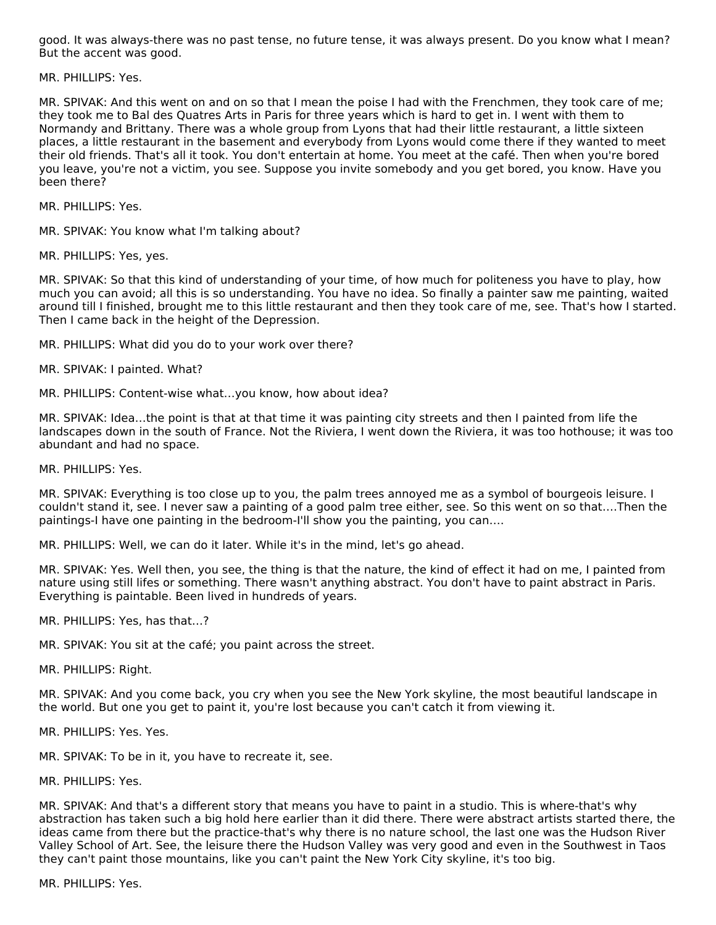good. It was always-there was no past tense, no future tense, it was always present. Do you know what I mean? But the accent was good.

MR. PHILLIPS: Yes.

MR. SPIVAK: And this went on and on so that I mean the poise I had with the Frenchmen, they took care of me; they took me to Bal des Quatres Arts in Paris for three years which is hard to get in. I went with them to Normandy and Brittany. There was a whole group from Lyons that had their little restaurant, a little sixteen places, a little restaurant in the basement and everybody from Lyons would come there if they wanted to meet their old friends. That's all it took. You don't entertain at home. You meet at the café. Then when you're bored you leave, you're not a victim, you see. Suppose you invite somebody and you get bored, you know. Have you been there?

MR. PHILLIPS: Yes.

MR. SPIVAK: You know what I'm talking about?

MR. PHILLIPS: Yes, yes.

MR. SPIVAK: So that this kind of understanding of your time, of how much for politeness you have to play, how much you can avoid; all this is so understanding. You have no idea. So finally a painter saw me painting, waited around till I finished, brought me to this little restaurant and then they took care of me, see. That's how I started. Then I came back in the height of the Depression.

MR. PHILLIPS: What did you do to your work over there?

MR. SPIVAK: I painted. What?

MR. PHILLIPS: Content-wise what…you know, how about idea?

MR. SPIVAK: Idea…the point is that at that time it was painting city streets and then I painted from life the landscapes down in the south of France. Not the Riviera, I went down the Riviera, it was too hothouse; it was too abundant and had no space.

MR. PHILLIPS: Yes.

MR. SPIVAK: Everything is too close up to you, the palm trees annoyed me as a symbol of bourgeois leisure. I couldn't stand it, see. I never saw a painting of a good palm tree either, see. So this went on so that….Then the paintings-I have one painting in the bedroom-I'll show you the painting, you can….

MR. PHILLIPS: Well, we can do it later. While it's in the mind, let's go ahead.

MR. SPIVAK: Yes. Well then, you see, the thing is that the nature, the kind of effect it had on me, I painted from nature using still lifes or something. There wasn't anything abstract. You don't have to paint abstract in Paris. Everything is paintable. Been lived in hundreds of years.

MR. PHILLIPS: Yes, has that…?

MR. SPIVAK: You sit at the café; you paint across the street.

MR. PHILLIPS: Right.

MR. SPIVAK: And you come back, you cry when you see the New York skyline, the most beautiful landscape in the world. But one you get to paint it, you're lost because you can't catch it from viewing it.

MR. PHILLIPS: Yes. Yes.

MR. SPIVAK: To be in it, you have to recreate it, see.

MR. PHILLIPS: Yes.

MR. SPIVAK: And that's a different story that means you have to paint in a studio. This is where-that's why abstraction has taken such a big hold here earlier than it did there. There were abstract artists started there, the ideas came from there but the practice-that's why there is no nature school, the last one was the Hudson River Valley School of Art. See, the leisure there the Hudson Valley was very good and even in the Southwest in Taos they can't paint those mountains, like you can't paint the New York City skyline, it's too big.

MR. PHILLIPS: Yes.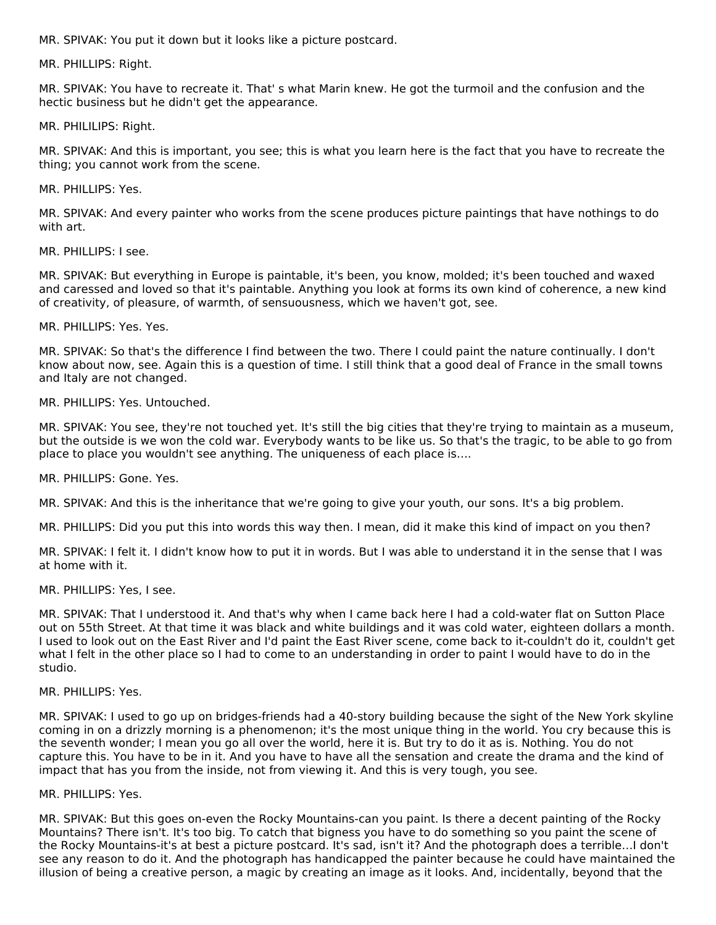MR. SPIVAK: You put it down but it looks like a picture postcard.

MR. PHILLIPS: Right.

MR. SPIVAK: You have to recreate it. That' s what Marin knew. He got the turmoil and the confusion and the hectic business but he didn't get the appearance.

MR. PHILILIPS: Right.

MR. SPIVAK: And this is important, you see; this is what you learn here is the fact that you have to recreate the thing; you cannot work from the scene.

MR. PHILLIPS: Yes.

MR. SPIVAK: And every painter who works from the scene produces picture paintings that have nothings to do with art.

MR. PHILLIPS: I see.

MR. SPIVAK: But everything in Europe is paintable, it's been, you know, molded; it's been touched and waxed and caressed and loved so that it's paintable. Anything you look at forms its own kind of coherence, a new kind of creativity, of pleasure, of warmth, of sensuousness, which we haven't got, see.

MR. PHILLIPS: Yes. Yes.

MR. SPIVAK: So that's the difference I find between the two. There I could paint the nature continually. I don't know about now, see. Again this is a question of time. I still think that a good deal of France in the small towns and Italy are not changed.

MR. PHILLIPS: Yes. Untouched.

MR. SPIVAK: You see, they're not touched yet. It's still the big cities that they're trying to maintain as a museum, but the outside is we won the cold war. Everybody wants to be like us. So that's the tragic, to be able to go from place to place you wouldn't see anything. The uniqueness of each place is….

MR. PHILLIPS: Gone. Yes.

MR. SPIVAK: And this is the inheritance that we're going to give your youth, our sons. It's a big problem.

MR. PHILLIPS: Did you put this into words this way then. I mean, did it make this kind of impact on you then?

MR. SPIVAK: I felt it. I didn't know how to put it in words. But I was able to understand it in the sense that I was at home with it.

MR. PHILLIPS: Yes, I see.

MR. SPIVAK: That I understood it. And that's why when I came back here I had a cold-water flat on Sutton Place out on 55th Street. At that time it was black and white buildings and it was cold water, eighteen dollars a month. I used to look out on the East River and I'd paint the East River scene, come back to it-couldn't do it, couldn't get what I felt in the other place so I had to come to an understanding in order to paint I would have to do in the studio.

#### MR. PHILLIPS: Yes.

MR. SPIVAK: I used to go up on bridges-friends had a 40-story building because the sight of the New York skyline coming in on a drizzly morning is a phenomenon; it's the most unique thing in the world. You cry because this is the seventh wonder; I mean you go all over the world, here it is. But try to do it as is. Nothing. You do not capture this. You have to be in it. And you have to have all the sensation and create the drama and the kind of impact that has you from the inside, not from viewing it. And this is very tough, you see.

#### MR. PHILLIPS: Yes.

MR. SPIVAK: But this goes on-even the Rocky Mountains-can you paint. Is there a decent painting of the Rocky Mountains? There isn't. It's too big. To catch that bigness you have to do something so you paint the scene of the Rocky Mountains-it's at best a picture postcard. It's sad, isn't it? And the photograph does a terrible…I don't see any reason to do it. And the photograph has handicapped the painter because he could have maintained the illusion of being a creative person, a magic by creating an image as it looks. And, incidentally, beyond that the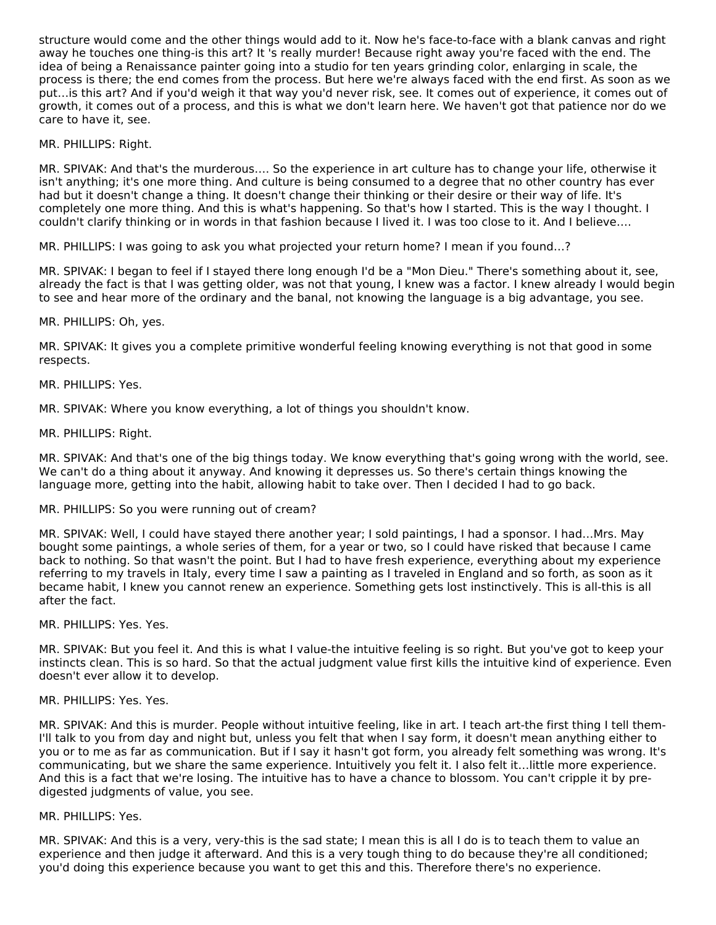structure would come and the other things would add to it. Now he's face-to-face with a blank canvas and right away he touches one thing-is this art? It 's really murder! Because right away you're faced with the end. The idea of being a Renaissance painter going into a studio for ten years grinding color, enlarging in scale, the process is there; the end comes from the process. But here we're always faced with the end first. As soon as we put…is this art? And if you'd weigh it that way you'd never risk, see. It comes out of experience, it comes out of growth, it comes out of a process, and this is what we don't learn here. We haven't got that patience nor do we care to have it, see.

#### MR. PHILLIPS: Right.

MR. SPIVAK: And that's the murderous…. So the experience in art culture has to change your life, otherwise it isn't anything; it's one more thing. And culture is being consumed to a degree that no other country has ever had but it doesn't change a thing. It doesn't change their thinking or their desire or their way of life. It's completely one more thing. And this is what's happening. So that's how I started. This is the way I thought. I couldn't clarify thinking or in words in that fashion because I lived it. I was too close to it. And I believe….

MR. PHILLIPS: I was going to ask you what projected your return home? I mean if you found…?

MR. SPIVAK: I began to feel if I stayed there long enough I'd be a "Mon Dieu." There's something about it, see, already the fact is that I was getting older, was not that young, I knew was a factor. I knew already I would begin to see and hear more of the ordinary and the banal, not knowing the language is a big advantage, you see.

#### MR. PHILLIPS: Oh, yes.

MR. SPIVAK: It gives you a complete primitive wonderful feeling knowing everything is not that good in some respects.

#### MR. PHILLIPS: Yes.

MR. SPIVAK: Where you know everything, a lot of things you shouldn't know.

#### MR. PHILLIPS: Right.

MR. SPIVAK: And that's one of the big things today. We know everything that's going wrong with the world, see. We can't do a thing about it anyway. And knowing it depresses us. So there's certain things knowing the language more, getting into the habit, allowing habit to take over. Then I decided I had to go back.

#### MR. PHILLIPS: So you were running out of cream?

MR. SPIVAK: Well, I could have stayed there another year; I sold paintings, I had a sponsor. I had…Mrs. May bought some paintings, a whole series of them, for a year or two, so I could have risked that because I came back to nothing. So that wasn't the point. But I had to have fresh experience, everything about my experience referring to my travels in Italy, every time I saw a painting as I traveled in England and so forth, as soon as it became habit, I knew you cannot renew an experience. Something gets lost instinctively. This is all-this is all after the fact.

#### MR. PHILLIPS: Yes. Yes.

MR. SPIVAK: But you feel it. And this is what I value-the intuitive feeling is so right. But you've got to keep your instincts clean. This is so hard. So that the actual judgment value first kills the intuitive kind of experience. Even doesn't ever allow it to develop.

#### MR. PHILLIPS: Yes. Yes.

MR. SPIVAK: And this is murder. People without intuitive feeling, like in art. I teach art-the first thing I tell them-I'll talk to you from day and night but, unless you felt that when I say form, it doesn't mean anything either to you or to me as far as communication. But if I say it hasn't got form, you already felt something was wrong. It's communicating, but we share the same experience. Intuitively you felt it. I also felt it…little more experience. And this is a fact that we're losing. The intuitive has to have a chance to blossom. You can't cripple it by predigested judgments of value, you see.

#### MR. PHILLIPS: Yes.

MR. SPIVAK: And this is a very, very-this is the sad state; I mean this is all I do is to teach them to value an experience and then judge it afterward. And this is a very tough thing to do because they're all conditioned; you'd doing this experience because you want to get this and this. Therefore there's no experience.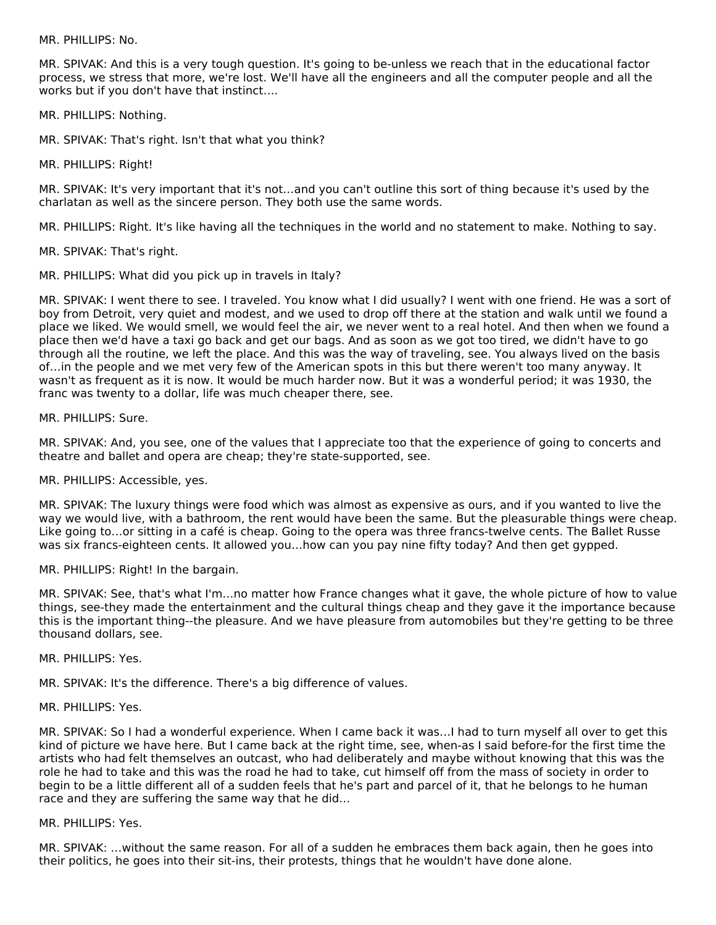MR. PHILLIPS: No.

MR. SPIVAK: And this is a very tough question. It's going to be-unless we reach that in the educational factor process, we stress that more, we're lost. We'll have all the engineers and all the computer people and all the works but if you don't have that instinct….

MR. PHILLIPS: Nothing.

MR. SPIVAK: That's right. Isn't that what you think?

MR. PHILLIPS: Right!

MR. SPIVAK: It's very important that it's not…and you can't outline this sort of thing because it's used by the charlatan as well as the sincere person. They both use the same words.

MR. PHILLIPS: Right. It's like having all the techniques in the world and no statement to make. Nothing to say.

MR. SPIVAK: That's right.

MR. PHILLIPS: What did you pick up in travels in Italy?

MR. SPIVAK: I went there to see. I traveled. You know what I did usually? I went with one friend. He was a sort of boy from Detroit, very quiet and modest, and we used to drop off there at the station and walk until we found a place we liked. We would smell, we would feel the air, we never went to a real hotel. And then when we found a place then we'd have a taxi go back and get our bags. And as soon as we got too tired, we didn't have to go through all the routine, we left the place. And this was the way of traveling, see. You always lived on the basis of…in the people and we met very few of the American spots in this but there weren't too many anyway. It wasn't as frequent as it is now. It would be much harder now. But it was a wonderful period; it was 1930, the franc was twenty to a dollar, life was much cheaper there, see.

MR. PHILLIPS: Sure.

MR. SPIVAK: And, you see, one of the values that I appreciate too that the experience of going to concerts and theatre and ballet and opera are cheap; they're state-supported, see.

MR. PHILLIPS: Accessible, yes.

MR. SPIVAK: The luxury things were food which was almost as expensive as ours, and if you wanted to live the way we would live, with a bathroom, the rent would have been the same. But the pleasurable things were cheap. Like going to…or sitting in a café is cheap. Going to the opera was three francs-twelve cents. The Ballet Russe was six francs-eighteen cents. It allowed you…how can you pay nine fifty today? And then get gypped.

MR. PHILLIPS: Right! In the bargain.

MR. SPIVAK: See, that's what I'm…no matter how France changes what it gave, the whole picture of how to value things, see-they made the entertainment and the cultural things cheap and they gave it the importance because this is the important thing--the pleasure. And we have pleasure from automobiles but they're getting to be three thousand dollars, see.

MR. PHILLIPS: Yes.

MR. SPIVAK: It's the difference. There's a big difference of values.

MR. PHILLIPS: Yes.

MR. SPIVAK: So I had a wonderful experience. When I came back it was…I had to turn myself all over to get this kind of picture we have here. But I came back at the right time, see, when-as I said before-for the first time the artists who had felt themselves an outcast, who had deliberately and maybe without knowing that this was the role he had to take and this was the road he had to take, cut himself off from the mass of society in order to begin to be a little different all of a sudden feels that he's part and parcel of it, that he belongs to he human race and they are suffering the same way that he did…

MR. PHILLIPS: Yes.

MR. SPIVAK: …without the same reason. For all of a sudden he embraces them back again, then he goes into their politics, he goes into their sit-ins, their protests, things that he wouldn't have done alone.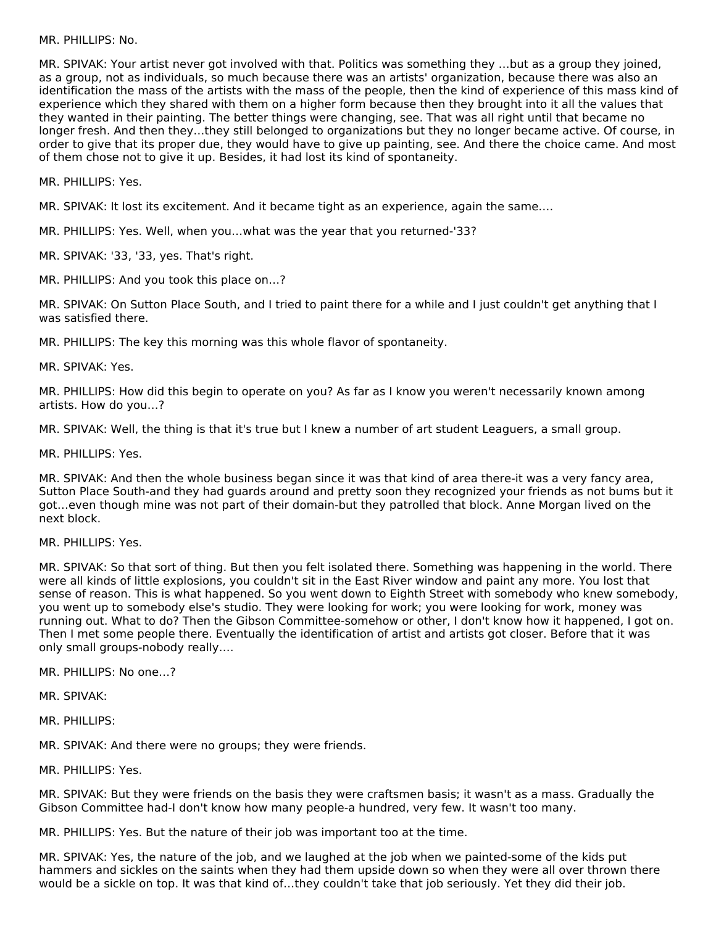MR. PHILLIPS: No.

MR. SPIVAK: Your artist never got involved with that. Politics was something they …but as a group they joined, as a group, not as individuals, so much because there was an artists' organization, because there was also an identification the mass of the artists with the mass of the people, then the kind of experience of this mass kind of experience which they shared with them on a higher form because then they brought into it all the values that they wanted in their painting. The better things were changing, see. That was all right until that became no longer fresh. And then they…they still belonged to organizations but they no longer became active. Of course, in order to give that its proper due, they would have to give up painting, see. And there the choice came. And most of them chose not to give it up. Besides, it had lost its kind of spontaneity.

MR. PHILLIPS: Yes.

MR. SPIVAK: It lost its excitement. And it became tight as an experience, again the same….

MR. PHILLIPS: Yes. Well, when you…what was the year that you returned-'33?

MR. SPIVAK: '33, '33, yes. That's right.

MR. PHILLIPS: And you took this place on…?

MR. SPIVAK: On Sutton Place South, and I tried to paint there for a while and I just couldn't get anything that I was satisfied there.

MR. PHILLIPS: The key this morning was this whole flavor of spontaneity.

MR. SPIVAK: Yes.

MR. PHILLIPS: How did this begin to operate on you? As far as I know you weren't necessarily known among artists. How do you…?

MR. SPIVAK: Well, the thing is that it's true but I knew a number of art student Leaguers, a small group.

MR. PHILLIPS: Yes.

MR. SPIVAK: And then the whole business began since it was that kind of area there-it was a very fancy area, Sutton Place South-and they had guards around and pretty soon they recognized your friends as not bums but it got…even though mine was not part of their domain-but they patrolled that block. Anne Morgan lived on the next block.

MR. PHILLIPS: Yes.

MR. SPIVAK: So that sort of thing. But then you felt isolated there. Something was happening in the world. There were all kinds of little explosions, you couldn't sit in the East River window and paint any more. You lost that sense of reason. This is what happened. So you went down to Eighth Street with somebody who knew somebody, you went up to somebody else's studio. They were looking for work; you were looking for work, money was running out. What to do? Then the Gibson Committee-somehow or other, I don't know how it happened, I got on. Then I met some people there. Eventually the identification of artist and artists got closer. Before that it was only small groups-nobody really….

MR. PHILLIPS: No one…?

MR. SPIVAK:

MR. PHILLIPS:

MR. SPIVAK: And there were no groups; they were friends.

MR. PHILLIPS: Yes.

MR. SPIVAK: But they were friends on the basis they were craftsmen basis; it wasn't as a mass. Gradually the Gibson Committee had-I don't know how many people-a hundred, very few. It wasn't too many.

MR. PHILLIPS: Yes. But the nature of their job was important too at the time.

MR. SPIVAK: Yes, the nature of the job, and we laughed at the job when we painted-some of the kids put hammers and sickles on the saints when they had them upside down so when they were all over thrown there would be a sickle on top. It was that kind of…they couldn't take that job seriously. Yet they did their job.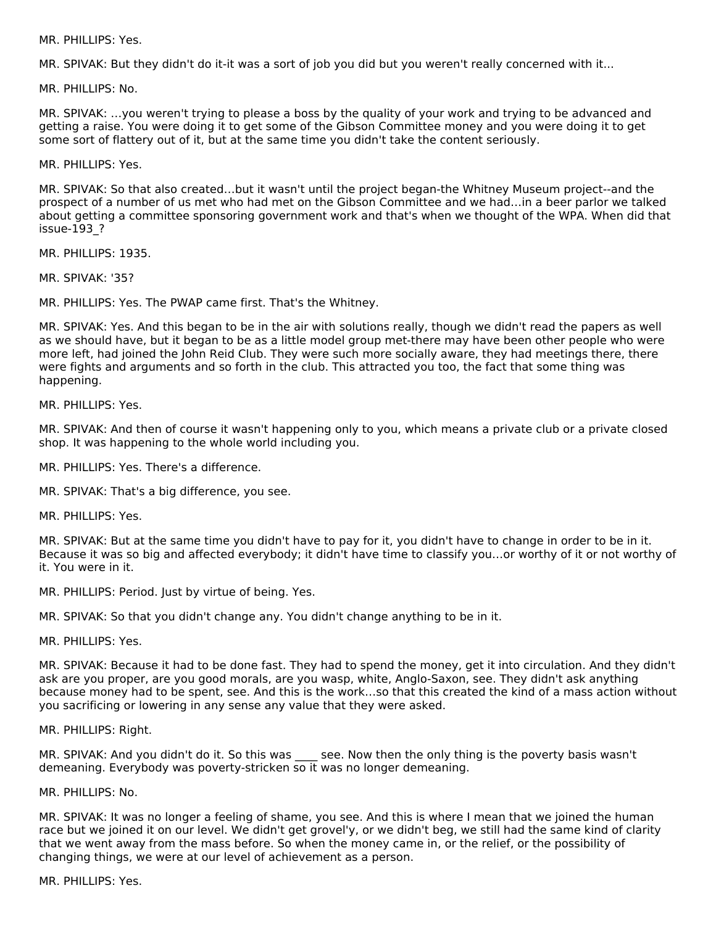MR. PHILLIPS: Yes.

MR. SPIVAK: But they didn't do it-it was a sort of job you did but you weren't really concerned with it...

MR. PHILLIPS: No.

MR. SPIVAK: …you weren't trying to please a boss by the quality of your work and trying to be advanced and getting a raise. You were doing it to get some of the Gibson Committee money and you were doing it to get some sort of flattery out of it, but at the same time you didn't take the content seriously.

MR. PHILLIPS: Yes.

MR. SPIVAK: So that also created…but it wasn't until the project began-the Whitney Museum project--and the prospect of a number of us met who had met on the Gibson Committee and we had…in a beer parlor we talked about getting a committee sponsoring government work and that's when we thought of the WPA. When did that issue-193\_?

MR. PHILLIPS: 1935.

MR. SPIVAK: '35?

MR. PHILLIPS: Yes. The PWAP came first. That's the Whitney.

MR. SPIVAK: Yes. And this began to be in the air with solutions really, though we didn't read the papers as well as we should have, but it began to be as a little model group met-there may have been other people who were more left, had joined the John Reid Club. They were such more socially aware, they had meetings there, there were fights and arguments and so forth in the club. This attracted you too, the fact that some thing was happening.

MR. PHILLIPS: Yes.

MR. SPIVAK: And then of course it wasn't happening only to you, which means a private club or a private closed shop. It was happening to the whole world including you.

MR. PHILLIPS: Yes. There's a difference.

MR. SPIVAK: That's a big difference, you see.

MR. PHILLIPS: Yes.

MR. SPIVAK: But at the same time you didn't have to pay for it, you didn't have to change in order to be in it. Because it was so big and affected everybody; it didn't have time to classify you…or worthy of it or not worthy of it. You were in it.

MR. PHILLIPS: Period. Just by virtue of being. Yes.

MR. SPIVAK: So that you didn't change any. You didn't change anything to be in it.

MR. PHILLIPS: Yes.

MR. SPIVAK: Because it had to be done fast. They had to spend the money, get it into circulation. And they didn't ask are you proper, are you good morals, are you wasp, white, Anglo-Saxon, see. They didn't ask anything because money had to be spent, see. And this is the work…so that this created the kind of a mass action without you sacrificing or lowering in any sense any value that they were asked.

MR. PHILLIPS: Right.

MR. SPIVAK: And you didn't do it. So this was see. Now then the only thing is the poverty basis wasn't demeaning. Everybody was poverty-stricken so it was no longer demeaning.

MR. PHILLIPS: No.

MR. SPIVAK: It was no longer a feeling of shame, you see. And this is where I mean that we joined the human race but we joined it on our level. We didn't get grovel'y, or we didn't beg, we still had the same kind of clarity that we went away from the mass before. So when the money came in, or the relief, or the possibility of changing things, we were at our level of achievement as a person.

MR. PHILLIPS: Yes.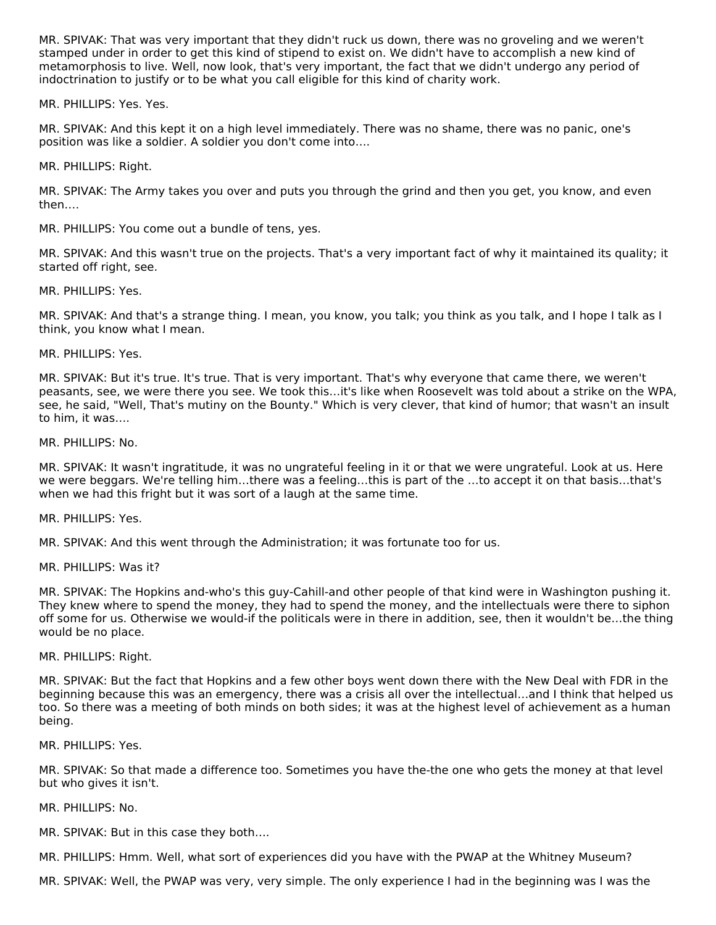MR. SPIVAK: That was very important that they didn't ruck us down, there was no groveling and we weren't stamped under in order to get this kind of stipend to exist on. We didn't have to accomplish a new kind of metamorphosis to live. Well, now look, that's very important, the fact that we didn't undergo any period of indoctrination to justify or to be what you call eligible for this kind of charity work.

MR. PHILLIPS: Yes. Yes.

MR. SPIVAK: And this kept it on a high level immediately. There was no shame, there was no panic, one's position was like a soldier. A soldier you don't come into….

MR. PHILLIPS: Right.

MR. SPIVAK: The Army takes you over and puts you through the grind and then you get, you know, and even then….

MR. PHILLIPS: You come out a bundle of tens, yes.

MR. SPIVAK: And this wasn't true on the projects. That's a very important fact of why it maintained its quality; it started off right, see.

MR. PHILLIPS: Yes.

MR. SPIVAK: And that's a strange thing. I mean, you know, you talk; you think as you talk, and I hope I talk as I think, you know what I mean.

MR. PHILLIPS: Yes.

MR. SPIVAK: But it's true. It's true. That is very important. That's why everyone that came there, we weren't peasants, see, we were there you see. We took this…it's like when Roosevelt was told about a strike on the WPA, see, he said, "Well, That's mutiny on the Bounty." Which is very clever, that kind of humor; that wasn't an insult to him, it was….

MR. PHILLIPS: No.

MR. SPIVAK: It wasn't ingratitude, it was no ungrateful feeling in it or that we were ungrateful. Look at us. Here we were beggars. We're telling him…there was a feeling…this is part of the …to accept it on that basis…that's when we had this fright but it was sort of a laugh at the same time.

MR. PHILLIPS: Yes.

MR. SPIVAK: And this went through the Administration; it was fortunate too for us.

MR. PHILLIPS: Was it?

MR. SPIVAK: The Hopkins and-who's this guy-Cahill-and other people of that kind were in Washington pushing it. They knew where to spend the money, they had to spend the money, and the intellectuals were there to siphon off some for us. Otherwise we would-if the politicals were in there in addition, see, then it wouldn't be…the thing would be no place.

MR. PHILLIPS: Right.

MR. SPIVAK: But the fact that Hopkins and a few other boys went down there with the New Deal with FDR in the beginning because this was an emergency, there was a crisis all over the intellectual…and I think that helped us too. So there was a meeting of both minds on both sides; it was at the highest level of achievement as a human being.

MR. PHILLIPS: Yes.

MR. SPIVAK: So that made a difference too. Sometimes you have the-the one who gets the money at that level but who gives it isn't.

MR. PHILLIPS: No.

MR. SPIVAK: But in this case they both….

MR. PHILLIPS: Hmm. Well, what sort of experiences did you have with the PWAP at the Whitney Museum?

MR. SPIVAK: Well, the PWAP was very, very simple. The only experience I had in the beginning was I was the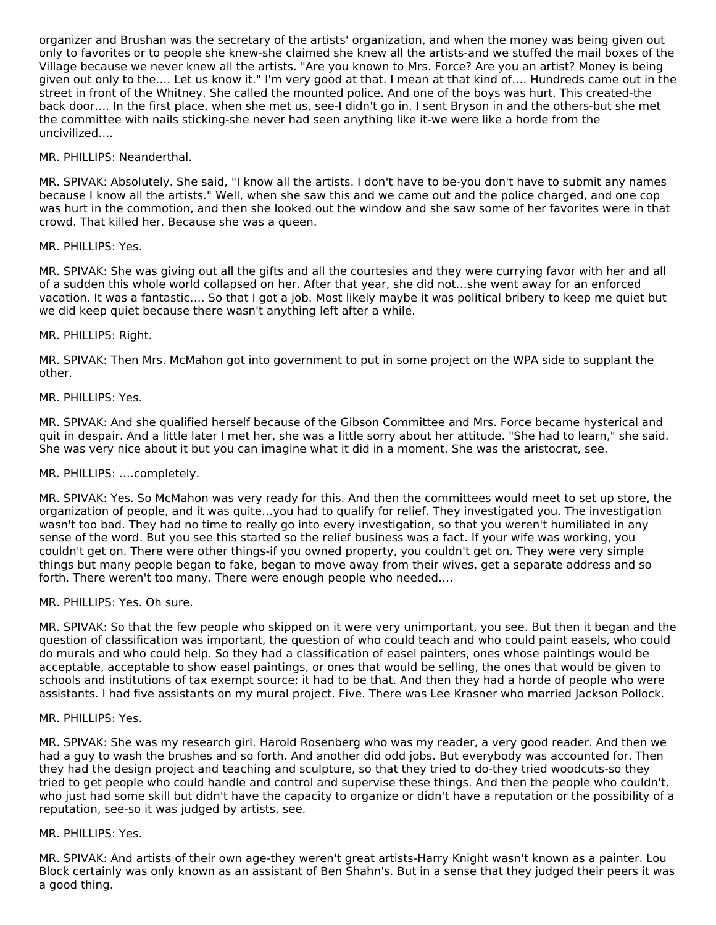organizer and Brushan was the secretary of the artists' organization, and when the money was being given out only to favorites or to people she knew-she claimed she knew all the artists-and we stuffed the mail boxes of the Village because we never knew all the artists. "Are you known to Mrs. Force? Are you an artist? Money is being given out only to the…. Let us know it." I'm very good at that. I mean at that kind of…. Hundreds came out in the street in front of the Whitney. She called the mounted police. And one of the boys was hurt. This created-the back door…. In the first place, when she met us, see-I didn't go in. I sent Bryson in and the others-but she met the committee with nails sticking-she never had seen anything like it-we were like a horde from the uncivilized….

#### MR. PHILLIPS: Neanderthal.

MR. SPIVAK: Absolutely. She said, "I know all the artists. I don't have to be-you don't have to submit any names because I know all the artists." Well, when she saw this and we came out and the police charged, and one cop was hurt in the commotion, and then she looked out the window and she saw some of her favorites were in that crowd. That killed her. Because she was a queen.

#### MR. PHILLIPS: Yes.

MR. SPIVAK: She was giving out all the gifts and all the courtesies and they were currying favor with her and all of a sudden this whole world collapsed on her. After that year, she did not…she went away for an enforced vacation. It was a fantastic…. So that I got a job. Most likely maybe it was political bribery to keep me quiet but we did keep quiet because there wasn't anything left after a while.

#### MR. PHILLIPS: Right.

MR. SPIVAK: Then Mrs. McMahon got into government to put in some project on the WPA side to supplant the other.

#### MR. PHILLIPS: Yes.

MR. SPIVAK: And she qualified herself because of the Gibson Committee and Mrs. Force became hysterical and quit in despair. And a little later I met her, she was a little sorry about her attitude. "She had to learn," she said. She was very nice about it but you can imagine what it did in a moment. She was the aristocrat, see.

#### MR. PHILLIPS: ….completely.

MR. SPIVAK: Yes. So McMahon was very ready for this. And then the committees would meet to set up store, the organization of people, and it was quite…you had to qualify for relief. They investigated you. The investigation wasn't too bad. They had no time to really go into every investigation, so that you weren't humiliated in any sense of the word. But you see this started so the relief business was a fact. If your wife was working, you couldn't get on. There were other things-if you owned property, you couldn't get on. They were very simple things but many people began to fake, began to move away from their wives, get a separate address and so forth. There weren't too many. There were enough people who needed….

#### MR. PHILLIPS: Yes. Oh sure.

MR. SPIVAK: So that the few people who skipped on it were very unimportant, you see. But then it began and the question of classification was important, the question of who could teach and who could paint easels, who could do murals and who could help. So they had a classification of easel painters, ones whose paintings would be acceptable, acceptable to show easel paintings, or ones that would be selling, the ones that would be given to schools and institutions of tax exempt source; it had to be that. And then they had a horde of people who were assistants. I had five assistants on my mural project. Five. There was Lee Krasner who married Jackson Pollock.

#### MR. PHILLIPS: Yes.

MR. SPIVAK: She was my research girl. Harold Rosenberg who was my reader, a very good reader. And then we had a guy to wash the brushes and so forth. And another did odd jobs. But everybody was accounted for. Then they had the design project and teaching and sculpture, so that they tried to do-they tried woodcuts-so they tried to get people who could handle and control and supervise these things. And then the people who couldn't, who just had some skill but didn't have the capacity to organize or didn't have a reputation or the possibility of a reputation, see-so it was judged by artists, see.

#### MR. PHILLIPS: Yes.

MR. SPIVAK: And artists of their own age-they weren't great artists-Harry Knight wasn't known as a painter. Lou Block certainly was only known as an assistant of Ben Shahn's. But in a sense that they judged their peers it was a good thing.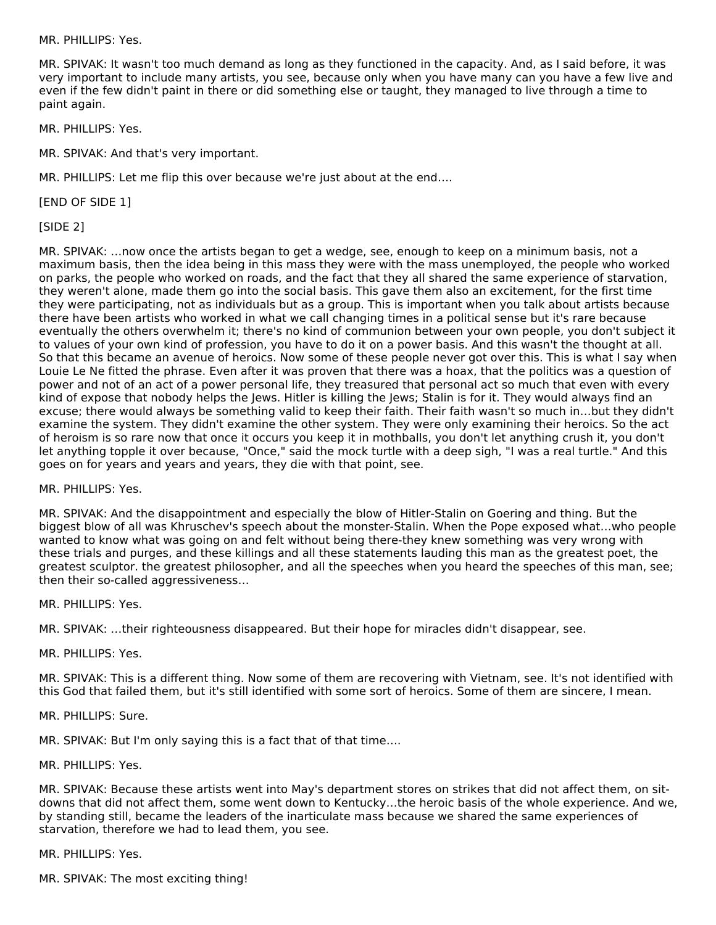MR. PHILLIPS: Yes.

MR. SPIVAK: It wasn't too much demand as long as they functioned in the capacity. And, as I said before, it was very important to include many artists, you see, because only when you have many can you have a few live and even if the few didn't paint in there or did something else or taught, they managed to live through a time to paint again.

MR. PHILLIPS: Yes.

MR. SPIVAK: And that's very important.

MR. PHILLIPS: Let me flip this over because we're just about at the end….

[END OF SIDE 1]

[SIDE 2]

MR. SPIVAK: …now once the artists began to get a wedge, see, enough to keep on a minimum basis, not a maximum basis, then the idea being in this mass they were with the mass unemployed, the people who worked on parks, the people who worked on roads, and the fact that they all shared the same experience of starvation, they weren't alone, made them go into the social basis. This gave them also an excitement, for the first time they were participating, not as individuals but as a group. This is important when you talk about artists because there have been artists who worked in what we call changing times in a political sense but it's rare because eventually the others overwhelm it; there's no kind of communion between your own people, you don't subject it to values of your own kind of profession, you have to do it on a power basis. And this wasn't the thought at all. So that this became an avenue of heroics. Now some of these people never got over this. This is what I say when Louie Le Ne fitted the phrase. Even after it was proven that there was a hoax, that the politics was a question of power and not of an act of a power personal life, they treasured that personal act so much that even with every kind of expose that nobody helps the Jews. Hitler is killing the Jews; Stalin is for it. They would always find an excuse; there would always be something valid to keep their faith. Their faith wasn't so much in…but they didn't examine the system. They didn't examine the other system. They were only examining their heroics. So the act of heroism is so rare now that once it occurs you keep it in mothballs, you don't let anything crush it, you don't let anything topple it over because, "Once," said the mock turtle with a deep sigh, "I was a real turtle." And this goes on for years and years and years, they die with that point, see.

MR. PHILLIPS: Yes.

MR. SPIVAK: And the disappointment and especially the blow of Hitler-Stalin on Goering and thing. But the biggest blow of all was Khruschev's speech about the monster-Stalin. When the Pope exposed what…who people wanted to know what was going on and felt without being there-they knew something was very wrong with these trials and purges, and these killings and all these statements lauding this man as the greatest poet, the greatest sculptor. the greatest philosopher, and all the speeches when you heard the speeches of this man, see; then their so-called aggressiveness…

MR. PHILLIPS: Yes.

MR. SPIVAK: …their righteousness disappeared. But their hope for miracles didn't disappear, see.

MR. PHILLIPS: Yes.

MR. SPIVAK: This is a different thing. Now some of them are recovering with Vietnam, see. It's not identified with this God that failed them, but it's still identified with some sort of heroics. Some of them are sincere, I mean.

MR. PHILLIPS: Sure.

MR. SPIVAK: But I'm only saying this is a fact that of that time….

MR. PHILLIPS: Yes.

MR. SPIVAK: Because these artists went into May's department stores on strikes that did not affect them, on sitdowns that did not affect them, some went down to Kentucky…the heroic basis of the whole experience. And we, by standing still, became the leaders of the inarticulate mass because we shared the same experiences of starvation, therefore we had to lead them, you see.

MR. PHILLIPS: Yes.

MR. SPIVAK: The most exciting thing!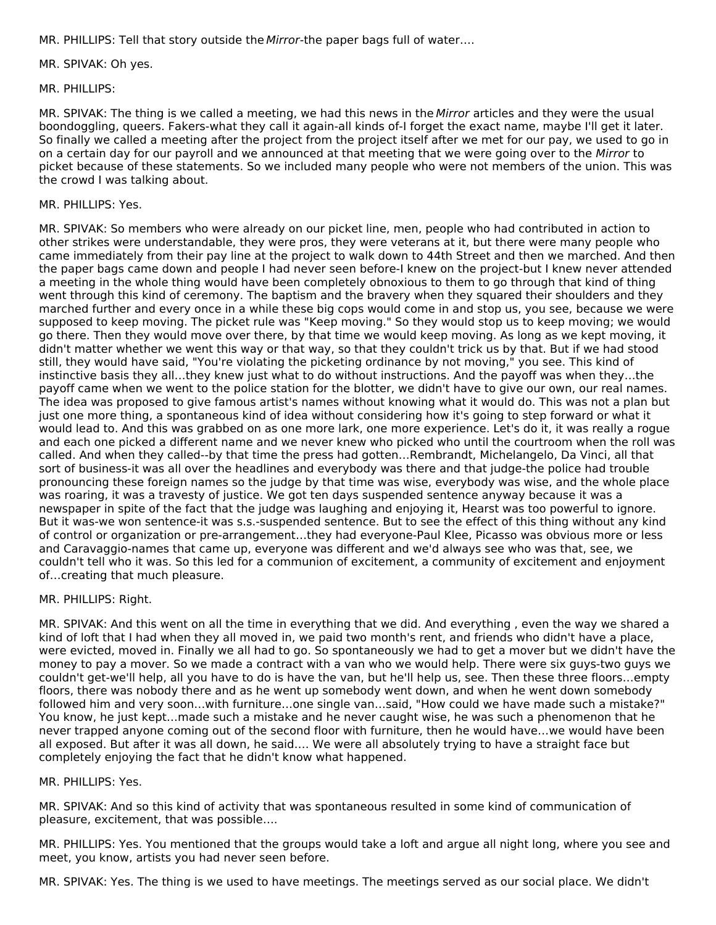MR. PHILLIPS: Tell that story outside the Mirror-the paper bags full of water....

MR. SPIVAK: Oh yes.

MR. PHILLIPS:

MR. SPIVAK: The thing is we called a meeting, we had this news in the Mirror articles and they were the usual boondoggling, queers. Fakers-what they call it again-all kinds of-I forget the exact name, maybe I'll get it later. So finally we called a meeting after the project from the project itself after we met for our pay, we used to go in on a certain day for our payroll and we announced at that meeting that we were going over to the Mirror to picket because of these statements. So we included many people who were not members of the union. This was the crowd I was talking about.

#### MR. PHILLIPS: Yes.

MR. SPIVAK: So members who were already on our picket line, men, people who had contributed in action to other strikes were understandable, they were pros, they were veterans at it, but there were many people who came immediately from their pay line at the project to walk down to 44th Street and then we marched. And then the paper bags came down and people I had never seen before-I knew on the project-but I knew never attended a meeting in the whole thing would have been completely obnoxious to them to go through that kind of thing went through this kind of ceremony. The baptism and the bravery when they squared their shoulders and they marched further and every once in a while these big cops would come in and stop us, you see, because we were supposed to keep moving. The picket rule was "Keep moving." So they would stop us to keep moving; we would go there. Then they would move over there, by that time we would keep moving. As long as we kept moving, it didn't matter whether we went this way or that way, so that they couldn't trick us by that. But if we had stood still, they would have said, "You're violating the picketing ordinance by not moving," you see. This kind of instinctive basis they all…they knew just what to do without instructions. And the payoff was when they…the payoff came when we went to the police station for the blotter, we didn't have to give our own, our real names. The idea was proposed to give famous artist's names without knowing what it would do. This was not a plan but just one more thing, a spontaneous kind of idea without considering how it's going to step forward or what it would lead to. And this was grabbed on as one more lark, one more experience. Let's do it, it was really a rogue and each one picked a different name and we never knew who picked who until the courtroom when the roll was called. And when they called--by that time the press had gotten…Rembrandt, Michelangelo, Da Vinci, all that sort of business-it was all over the headlines and everybody was there and that judge-the police had trouble pronouncing these foreign names so the judge by that time was wise, everybody was wise, and the whole place was roaring, it was a travesty of justice. We got ten days suspended sentence anyway because it was a newspaper in spite of the fact that the judge was laughing and enjoying it, Hearst was too powerful to ignore. But it was-we won sentence-it was s.s.-suspended sentence. But to see the effect of this thing without any kind of control or organization or pre-arrangement…they had everyone-Paul Klee, Picasso was obvious more or less and Caravaggio-names that came up, everyone was different and we'd always see who was that, see, we couldn't tell who it was. So this led for a communion of excitement, a community of excitement and enjoyment of…creating that much pleasure.

#### MR. PHILLIPS: Right.

MR. SPIVAK: And this went on all the time in everything that we did. And everything , even the way we shared a kind of loft that I had when they all moved in, we paid two month's rent, and friends who didn't have a place, were evicted, moved in. Finally we all had to go. So spontaneously we had to get a mover but we didn't have the money to pay a mover. So we made a contract with a van who we would help. There were six guys-two guys we couldn't get-we'll help, all you have to do is have the van, but he'll help us, see. Then these three floors…empty floors, there was nobody there and as he went up somebody went down, and when he went down somebody followed him and very soon…with furniture…one single van…said, "How could we have made such a mistake?" You know, he just kept…made such a mistake and he never caught wise, he was such a phenomenon that he never trapped anyone coming out of the second floor with furniture, then he would have…we would have been all exposed. But after it was all down, he said…. We were all absolutely trying to have a straight face but completely enjoying the fact that he didn't know what happened.

#### MR. PHILLIPS: Yes.

MR. SPIVAK: And so this kind of activity that was spontaneous resulted in some kind of communication of pleasure, excitement, that was possible….

MR. PHILLIPS: Yes. You mentioned that the groups would take a loft and argue all night long, where you see and meet, you know, artists you had never seen before.

MR. SPIVAK: Yes. The thing is we used to have meetings. The meetings served as our social place. We didn't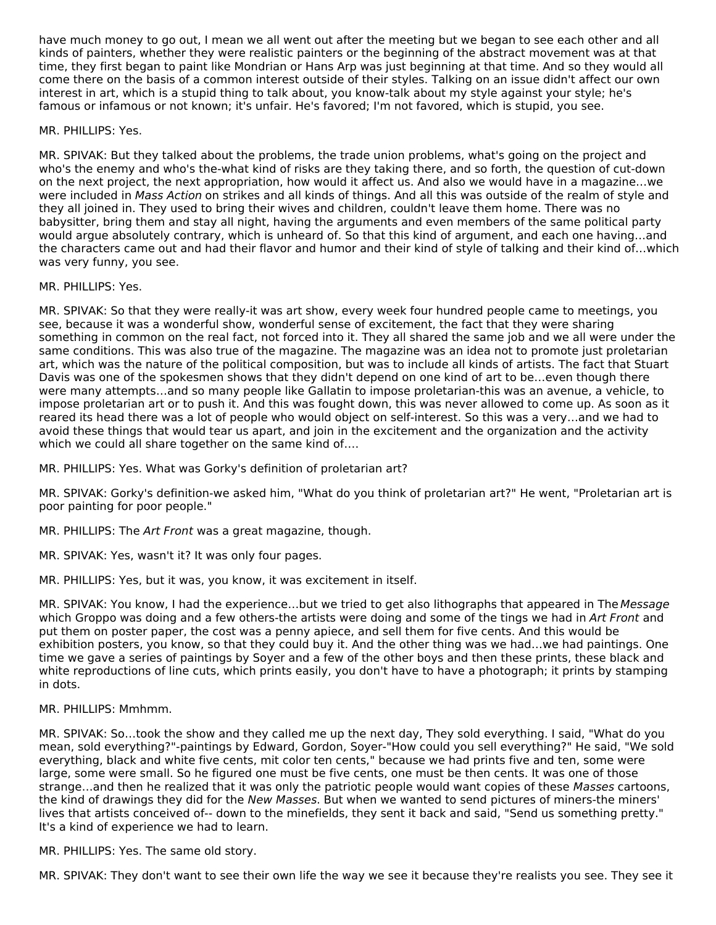have much money to go out, I mean we all went out after the meeting but we began to see each other and all kinds of painters, whether they were realistic painters or the beginning of the abstract movement was at that time, they first began to paint like Mondrian or Hans Arp was just beginning at that time. And so they would all come there on the basis of a common interest outside of their styles. Talking on an issue didn't affect our own interest in art, which is a stupid thing to talk about, you know-talk about my style against your style; he's famous or infamous or not known; it's unfair. He's favored; I'm not favored, which is stupid, you see.

MR. PHILLIPS: Yes.

MR. SPIVAK: But they talked about the problems, the trade union problems, what's going on the project and who's the enemy and who's the-what kind of risks are they taking there, and so forth, the question of cut-down on the next project, the next appropriation, how would it affect us. And also we would have in a magazine…we were included in Mass Action on strikes and all kinds of things. And all this was outside of the realm of style and they all joined in. They used to bring their wives and children, couldn't leave them home. There was no babysitter, bring them and stay all night, having the arguments and even members of the same political party would argue absolutely contrary, which is unheard of. So that this kind of argument, and each one having…and the characters came out and had their flavor and humor and their kind of style of talking and their kind of…which was very funny, you see.

MR. PHILLIPS: Yes.

MR. SPIVAK: So that they were really-it was art show, every week four hundred people came to meetings, you see, because it was a wonderful show, wonderful sense of excitement, the fact that they were sharing something in common on the real fact, not forced into it. They all shared the same job and we all were under the same conditions. This was also true of the magazine. The magazine was an idea not to promote just proletarian art, which was the nature of the political composition, but was to include all kinds of artists. The fact that Stuart Davis was one of the spokesmen shows that they didn't depend on one kind of art to be…even though there were many attempts…and so many people like Gallatin to impose proletarian-this was an avenue, a vehicle, to impose proletarian art or to push it. And this was fought down, this was never allowed to come up. As soon as it reared its head there was a lot of people who would object on self-interest. So this was a very…and we had to avoid these things that would tear us apart, and join in the excitement and the organization and the activity which we could all share together on the same kind of….

MR. PHILLIPS: Yes. What was Gorky's definition of proletarian art?

MR. SPIVAK: Gorky's definition-we asked him, "What do you think of proletarian art?" He went, "Proletarian art is poor painting for poor people."

MR. PHILLIPS: The Art Front was a great magazine, though.

MR. SPIVAK: Yes, wasn't it? It was only four pages.

MR. PHILLIPS: Yes, but it was, you know, it was excitement in itself.

MR. SPIVAK: You know, I had the experience...but we tried to get also lithographs that appeared in The Message which Groppo was doing and a few others-the artists were doing and some of the tings we had in Art Front and put them on poster paper, the cost was a penny apiece, and sell them for five cents. And this would be exhibition posters, you know, so that they could buy it. And the other thing was we had…we had paintings. One time we gave a series of paintings by Soyer and a few of the other boys and then these prints, these black and white reproductions of line cuts, which prints easily, you don't have to have a photograph; it prints by stamping in dots.

MR. PHILLIPS: Mmhmm.

MR. SPIVAK: So…took the show and they called me up the next day, They sold everything. I said, "What do you mean, sold everything?"-paintings by Edward, Gordon, Soyer-"How could you sell everything?" He said, "We sold everything, black and white five cents, mit color ten cents," because we had prints five and ten, some were large, some were small. So he figured one must be five cents, one must be then cents. It was one of those strange…and then he realized that it was only the patriotic people would want copies of these Masses cartoons, the kind of drawings they did for the New Masses. But when we wanted to send pictures of miners-the miners' lives that artists conceived of-- down to the minefields, they sent it back and said, "Send us something pretty." It's a kind of experience we had to learn.

MR. PHILLIPS: Yes. The same old story.

MR. SPIVAK: They don't want to see their own life the way we see it because they're realists you see. They see it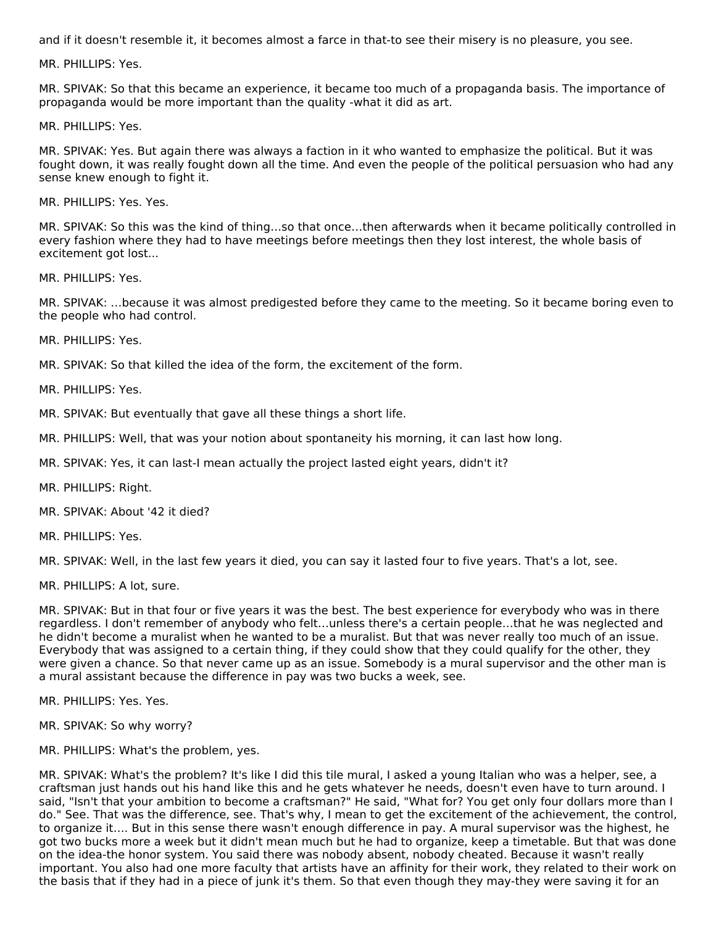and if it doesn't resemble it, it becomes almost a farce in that-to see their misery is no pleasure, you see.

MR. PHILLIPS: Yes.

MR. SPIVAK: So that this became an experience, it became too much of a propaganda basis. The importance of propaganda would be more important than the quality -what it did as art.

MR. PHILLIPS: Yes.

MR. SPIVAK: Yes. But again there was always a faction in it who wanted to emphasize the political. But it was fought down, it was really fought down all the time. And even the people of the political persuasion who had any sense knew enough to fight it.

MR. PHILLIPS: Yes. Yes.

MR. SPIVAK: So this was the kind of thing…so that once…then afterwards when it became politically controlled in every fashion where they had to have meetings before meetings then they lost interest, the whole basis of excitement got lost...

MR. PHILLIPS: Yes.

MR. SPIVAK: …because it was almost predigested before they came to the meeting. So it became boring even to the people who had control.

MR. PHILLIPS: Yes.

MR. SPIVAK: So that killed the idea of the form, the excitement of the form.

MR. PHILLIPS: Yes.

MR. SPIVAK: But eventually that gave all these things a short life.

MR. PHILLIPS: Well, that was your notion about spontaneity his morning, it can last how long.

MR. SPIVAK: Yes, it can last-I mean actually the project lasted eight years, didn't it?

MR. PHILLIPS: Right.

MR. SPIVAK: About '42 it died?

MR. PHILLIPS: Yes.

MR. SPIVAK: Well, in the last few years it died, you can say it lasted four to five years. That's a lot, see.

MR. PHILLIPS: A lot, sure.

MR. SPIVAK: But in that four or five years it was the best. The best experience for everybody who was in there regardless. I don't remember of anybody who felt…unless there's a certain people…that he was neglected and he didn't become a muralist when he wanted to be a muralist. But that was never really too much of an issue. Everybody that was assigned to a certain thing, if they could show that they could qualify for the other, they were given a chance. So that never came up as an issue. Somebody is a mural supervisor and the other man is a mural assistant because the difference in pay was two bucks a week, see.

MR. PHILLIPS: Yes. Yes.

MR. SPIVAK: So why worry?

MR. PHILLIPS: What's the problem, yes.

MR. SPIVAK: What's the problem? It's like I did this tile mural, I asked a young Italian who was a helper, see, a craftsman just hands out his hand like this and he gets whatever he needs, doesn't even have to turn around. I said, "Isn't that your ambition to become a craftsman?" He said, "What for? You get only four dollars more than I do." See. That was the difference, see. That's why, I mean to get the excitement of the achievement, the control, to organize it…. But in this sense there wasn't enough difference in pay. A mural supervisor was the highest, he got two bucks more a week but it didn't mean much but he had to organize, keep a timetable. But that was done on the idea-the honor system. You said there was nobody absent, nobody cheated. Because it wasn't really important. You also had one more faculty that artists have an affinity for their work, they related to their work on the basis that if they had in a piece of junk it's them. So that even though they may-they were saving it for an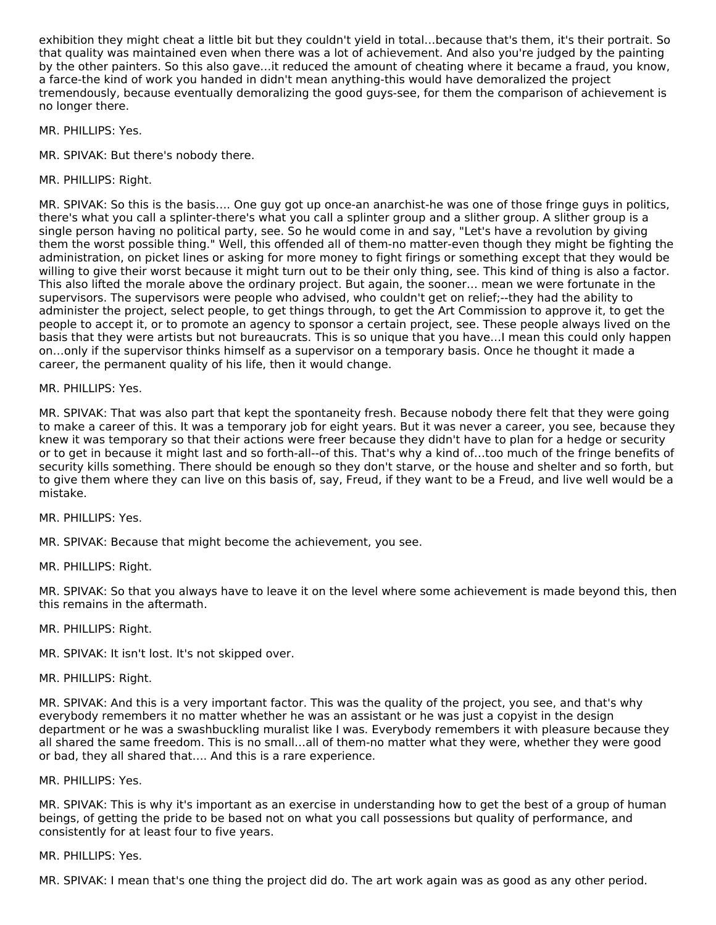exhibition they might cheat a little bit but they couldn't yield in total…because that's them, it's their portrait. So that quality was maintained even when there was a lot of achievement. And also you're judged by the painting by the other painters. So this also gave…it reduced the amount of cheating where it became a fraud, you know, a farce-the kind of work you handed in didn't mean anything-this would have demoralized the project tremendously, because eventually demoralizing the good guys-see, for them the comparison of achievement is no longer there.

- MR. PHILLIPS: Yes.
- MR. SPIVAK: But there's nobody there.
- MR. PHILLIPS: Right.

MR. SPIVAK: So this is the basis…. One guy got up once-an anarchist-he was one of those fringe guys in politics, there's what you call a splinter-there's what you call a splinter group and a slither group. A slither group is a single person having no political party, see. So he would come in and say, "Let's have a revolution by giving them the worst possible thing." Well, this offended all of them-no matter-even though they might be fighting the administration, on picket lines or asking for more money to fight firings or something except that they would be willing to give their worst because it might turn out to be their only thing, see. This kind of thing is also a factor. This also lifted the morale above the ordinary project. But again, the sooner… mean we were fortunate in the supervisors. The supervisors were people who advised, who couldn't get on relief;--they had the ability to administer the project, select people, to get things through, to get the Art Commission to approve it, to get the people to accept it, or to promote an agency to sponsor a certain project, see. These people always lived on the basis that they were artists but not bureaucrats. This is so unique that you have…I mean this could only happen on…only if the supervisor thinks himself as a supervisor on a temporary basis. Once he thought it made a career, the permanent quality of his life, then it would change.

MR. PHILLIPS: Yes.

MR. SPIVAK: That was also part that kept the spontaneity fresh. Because nobody there felt that they were going to make a career of this. It was a temporary job for eight years. But it was never a career, you see, because they knew it was temporary so that their actions were freer because they didn't have to plan for a hedge or security or to get in because it might last and so forth-all--of this. That's why a kind of…too much of the fringe benefits of security kills something. There should be enough so they don't starve, or the house and shelter and so forth, but to give them where they can live on this basis of, say, Freud, if they want to be a Freud, and live well would be a mistake.

MR. PHILLIPS: Yes.

MR. SPIVAK: Because that might become the achievement, you see.

MR. PHILLIPS: Right.

MR. SPIVAK: So that you always have to leave it on the level where some achievement is made beyond this, then this remains in the aftermath.

MR. PHILLIPS: Right.

MR. SPIVAK: It isn't lost. It's not skipped over.

MR. PHILLIPS: Right.

MR. SPIVAK: And this is a very important factor. This was the quality of the project, you see, and that's why everybody remembers it no matter whether he was an assistant or he was just a copyist in the design department or he was a swashbuckling muralist like I was. Everybody remembers it with pleasure because they all shared the same freedom. This is no small…all of them-no matter what they were, whether they were good or bad, they all shared that…. And this is a rare experience.

#### MR. PHILLIPS: Yes.

MR. SPIVAK: This is why it's important as an exercise in understanding how to get the best of a group of human beings, of getting the pride to be based not on what you call possessions but quality of performance, and consistently for at least four to five years.

#### MR. PHILLIPS: Yes.

MR. SPIVAK: I mean that's one thing the project did do. The art work again was as good as any other period.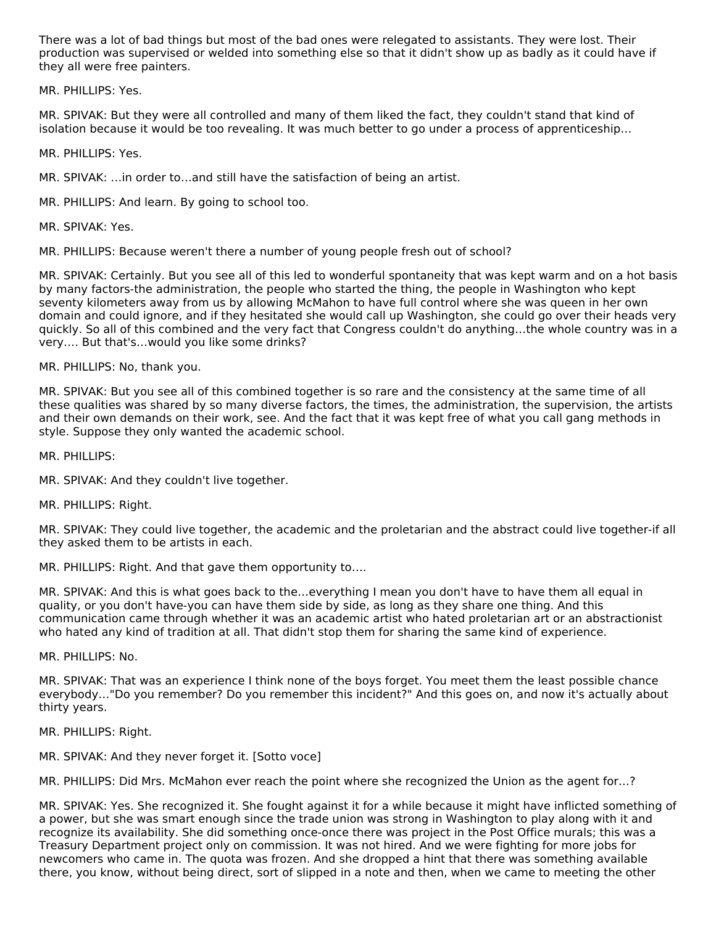There was a lot of bad things but most of the bad ones were relegated to assistants. They were lost. Their production was supervised or welded into something else so that it didn't show up as badly as it could have if they all were free painters.

MR. PHILLIPS: Yes.

MR. SPIVAK: But they were all controlled and many of them liked the fact, they couldn't stand that kind of isolation because it would be too revealing. It was much better to go under a process of apprenticeship…

MR. PHILLIPS: Yes.

MR. SPIVAK: …in order to…and still have the satisfaction of being an artist.

MR. PHILLIPS: And learn. By going to school too.

MR. SPIVAK: Yes.

MR. PHILLIPS: Because weren't there a number of young people fresh out of school?

MR. SPIVAK: Certainly. But you see all of this led to wonderful spontaneity that was kept warm and on a hot basis by many factors-the administration, the people who started the thing, the people in Washington who kept seventy kilometers away from us by allowing McMahon to have full control where she was queen in her own domain and could ignore, and if they hesitated she would call up Washington, she could go over their heads very quickly. So all of this combined and the very fact that Congress couldn't do anything…the whole country was in a very…. But that's…would you like some drinks?

MR. PHILLIPS: No, thank you.

MR. SPIVAK: But you see all of this combined together is so rare and the consistency at the same time of all these qualities was shared by so many diverse factors, the times, the administration, the supervision, the artists and their own demands on their work, see. And the fact that it was kept free of what you call gang methods in style. Suppose they only wanted the academic school.

MR. PHILLIPS:

MR. SPIVAK: And they couldn't live together.

MR. PHILLIPS: Right.

MR. SPIVAK: They could live together, the academic and the proletarian and the abstract could live together-if all they asked them to be artists in each.

MR. PHILLIPS: Right. And that gave them opportunity to….

MR. SPIVAK: And this is what goes back to the…everything I mean you don't have to have them all equal in quality, or you don't have-you can have them side by side, as long as they share one thing. And this communication came through whether it was an academic artist who hated proletarian art or an abstractionist who hated any kind of tradition at all. That didn't stop them for sharing the same kind of experience.

MR. PHILLIPS: No.

MR. SPIVAK: That was an experience I think none of the boys forget. You meet them the least possible chance everybody…"Do you remember? Do you remember this incident?" And this goes on, and now it's actually about thirty years.

MR. PHILLIPS: Right.

MR. SPIVAK: And they never forget it. [Sotto voce]

MR. PHILLIPS: Did Mrs. McMahon ever reach the point where she recognized the Union as the agent for…?

MR. SPIVAK: Yes. She recognized it. She fought against it for a while because it might have inflicted something of a power, but she was smart enough since the trade union was strong in Washington to play along with it and recognize its availability. She did something once-once there was project in the Post Office murals; this was a Treasury Department project only on commission. It was not hired. And we were fighting for more jobs for newcomers who came in. The quota was frozen. And she dropped a hint that there was something available there, you know, without being direct, sort of slipped in a note and then, when we came to meeting the other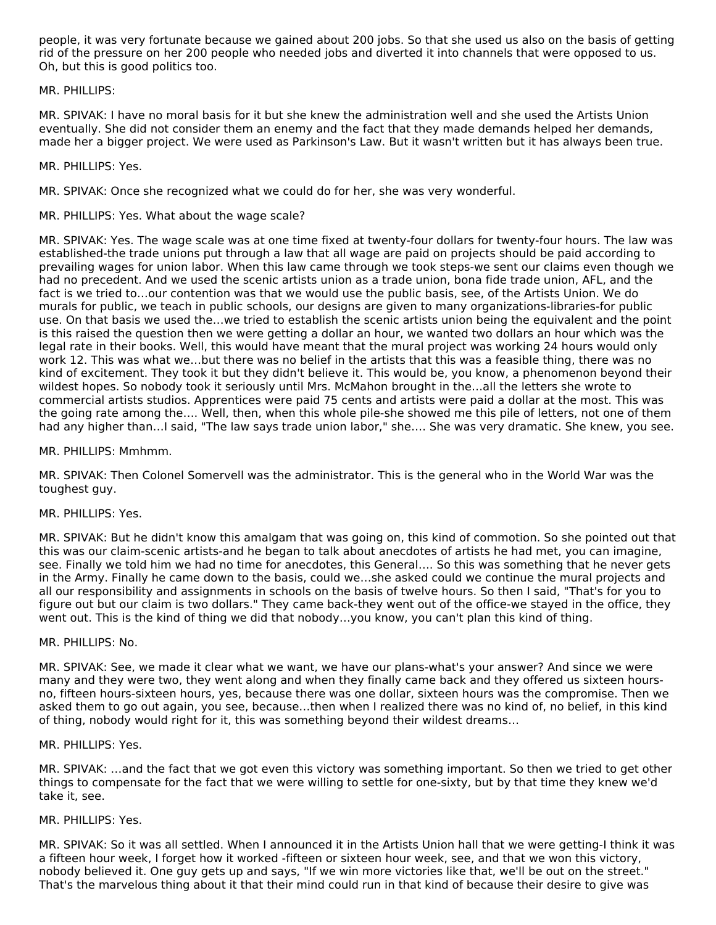people, it was very fortunate because we gained about 200 jobs. So that she used us also on the basis of getting rid of the pressure on her 200 people who needed jobs and diverted it into channels that were opposed to us. Oh, but this is good politics too.

#### MR. PHILLIPS:

MR. SPIVAK: I have no moral basis for it but she knew the administration well and she used the Artists Union eventually. She did not consider them an enemy and the fact that they made demands helped her demands, made her a bigger project. We were used as Parkinson's Law. But it wasn't written but it has always been true.

#### MR. PHILLIPS: Yes.

MR. SPIVAK: Once she recognized what we could do for her, she was very wonderful.

#### MR. PHILLIPS: Yes. What about the wage scale?

MR. SPIVAK: Yes. The wage scale was at one time fixed at twenty-four dollars for twenty-four hours. The law was established-the trade unions put through a law that all wage are paid on projects should be paid according to prevailing wages for union labor. When this law came through we took steps-we sent our claims even though we had no precedent. And we used the scenic artists union as a trade union, bona fide trade union, AFL, and the fact is we tried to…our contention was that we would use the public basis, see, of the Artists Union. We do murals for public, we teach in public schools, our designs are given to many organizations-libraries-for public use. On that basis we used the…we tried to establish the scenic artists union being the equivalent and the point is this raised the question then we were getting a dollar an hour, we wanted two dollars an hour which was the legal rate in their books. Well, this would have meant that the mural project was working 24 hours would only work 12. This was what we…but there was no belief in the artists that this was a feasible thing, there was no kind of excitement. They took it but they didn't believe it. This would be, you know, a phenomenon beyond their wildest hopes. So nobody took it seriously until Mrs. McMahon brought in the…all the letters she wrote to commercial artists studios. Apprentices were paid 75 cents and artists were paid a dollar at the most. This was the going rate among the…. Well, then, when this whole pile-she showed me this pile of letters, not one of them had any higher than…I said, "The law says trade union labor," she…. She was very dramatic. She knew, you see.

#### MR. PHILLIPS: Mmhmm.

MR. SPIVAK: Then Colonel Somervell was the administrator. This is the general who in the World War was the toughest guy.

#### MR. PHILLIPS: Yes.

MR. SPIVAK: But he didn't know this amalgam that was going on, this kind of commotion. So she pointed out that this was our claim-scenic artists-and he began to talk about anecdotes of artists he had met, you can imagine, see. Finally we told him we had no time for anecdotes, this General…. So this was something that he never gets in the Army. Finally he came down to the basis, could we…she asked could we continue the mural projects and all our responsibility and assignments in schools on the basis of twelve hours. So then I said, "That's for you to figure out but our claim is two dollars." They came back-they went out of the office-we stayed in the office, they went out. This is the kind of thing we did that nobody…you know, you can't plan this kind of thing.

#### MR. PHILLIPS: No.

MR. SPIVAK: See, we made it clear what we want, we have our plans-what's your answer? And since we were many and they were two, they went along and when they finally came back and they offered us sixteen hoursno, fifteen hours-sixteen hours, yes, because there was one dollar, sixteen hours was the compromise. Then we asked them to go out again, you see, because…then when I realized there was no kind of, no belief, in this kind of thing, nobody would right for it, this was something beyond their wildest dreams…

#### MR. PHILLIPS: Yes.

MR. SPIVAK: …and the fact that we got even this victory was something important. So then we tried to get other things to compensate for the fact that we were willing to settle for one-sixty, but by that time they knew we'd take it, see.

#### MR. PHILLIPS: Yes.

MR. SPIVAK: So it was all settled. When I announced it in the Artists Union hall that we were getting-I think it was a fifteen hour week, I forget how it worked -fifteen or sixteen hour week, see, and that we won this victory, nobody believed it. One guy gets up and says, "If we win more victories like that, we'll be out on the street." That's the marvelous thing about it that their mind could run in that kind of because their desire to give was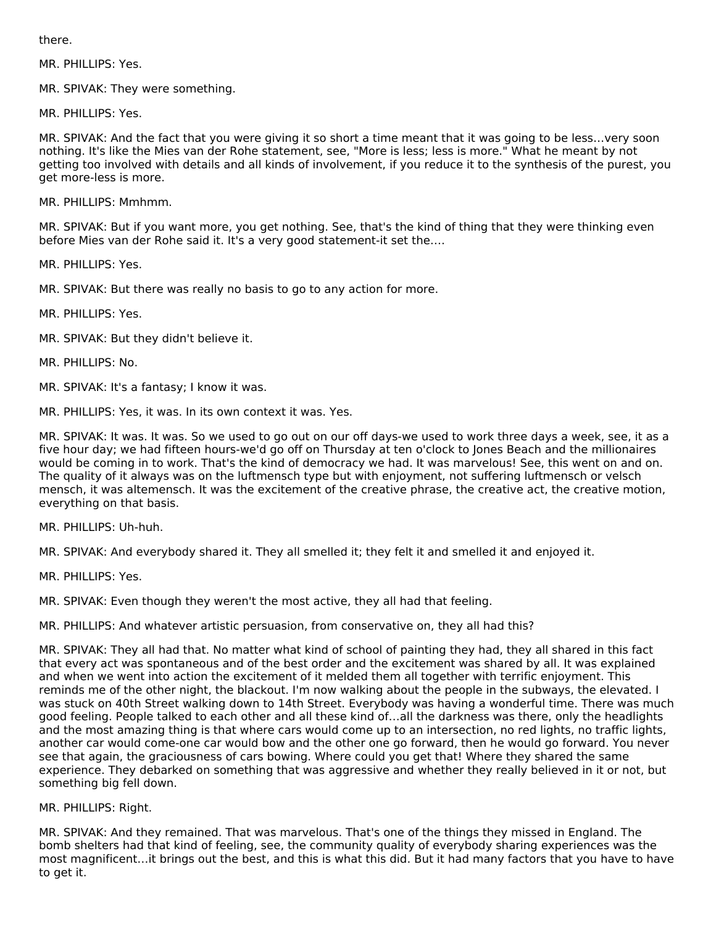there.

MR. PHILLIPS: Yes.

MR. SPIVAK: They were something.

MR. PHILLIPS: Yes.

MR. SPIVAK: And the fact that you were giving it so short a time meant that it was going to be less…very soon nothing. It's like the Mies van der Rohe statement, see, "More is less; less is more." What he meant by not getting too involved with details and all kinds of involvement, if you reduce it to the synthesis of the purest, you get more-less is more.

MR. PHILLIPS: Mmhmm.

MR. SPIVAK: But if you want more, you get nothing. See, that's the kind of thing that they were thinking even before Mies van der Rohe said it. It's a very good statement-it set the….

MR. PHILLIPS: Yes.

MR. SPIVAK: But there was really no basis to go to any action for more.

MR. PHILLIPS: Yes.

MR. SPIVAK: But they didn't believe it.

MR. PHILLIPS: No.

MR. SPIVAK: It's a fantasy; I know it was.

MR. PHILLIPS: Yes, it was. In its own context it was. Yes.

MR. SPIVAK: It was. It was. So we used to go out on our off days-we used to work three days a week, see, it as a five hour day; we had fifteen hours-we'd go off on Thursday at ten o'clock to Jones Beach and the millionaires would be coming in to work. That's the kind of democracy we had. It was marvelous! See, this went on and on. The quality of it always was on the luftmensch type but with enjoyment, not suffering luftmensch or velsch mensch, it was altemensch. It was the excitement of the creative phrase, the creative act, the creative motion, everything on that basis.

MR. PHILLIPS: Uh-huh.

MR. SPIVAK: And everybody shared it. They all smelled it; they felt it and smelled it and enjoyed it.

MR. PHILLIPS: Yes.

MR. SPIVAK: Even though they weren't the most active, they all had that feeling.

MR. PHILLIPS: And whatever artistic persuasion, from conservative on, they all had this?

MR. SPIVAK: They all had that. No matter what kind of school of painting they had, they all shared in this fact that every act was spontaneous and of the best order and the excitement was shared by all. It was explained and when we went into action the excitement of it melded them all together with terrific enjoyment. This reminds me of the other night, the blackout. I'm now walking about the people in the subways, the elevated. I was stuck on 40th Street walking down to 14th Street. Everybody was having a wonderful time. There was much good feeling. People talked to each other and all these kind of…all the darkness was there, only the headlights and the most amazing thing is that where cars would come up to an intersection, no red lights, no traffic lights, another car would come-one car would bow and the other one go forward, then he would go forward. You never see that again, the graciousness of cars bowing. Where could you get that! Where they shared the same experience. They debarked on something that was aggressive and whether they really believed in it or not, but something big fell down.

#### MR. PHILLIPS: Right.

MR. SPIVAK: And they remained. That was marvelous. That's one of the things they missed in England. The bomb shelters had that kind of feeling, see, the community quality of everybody sharing experiences was the most magnificent…it brings out the best, and this is what this did. But it had many factors that you have to have to get it.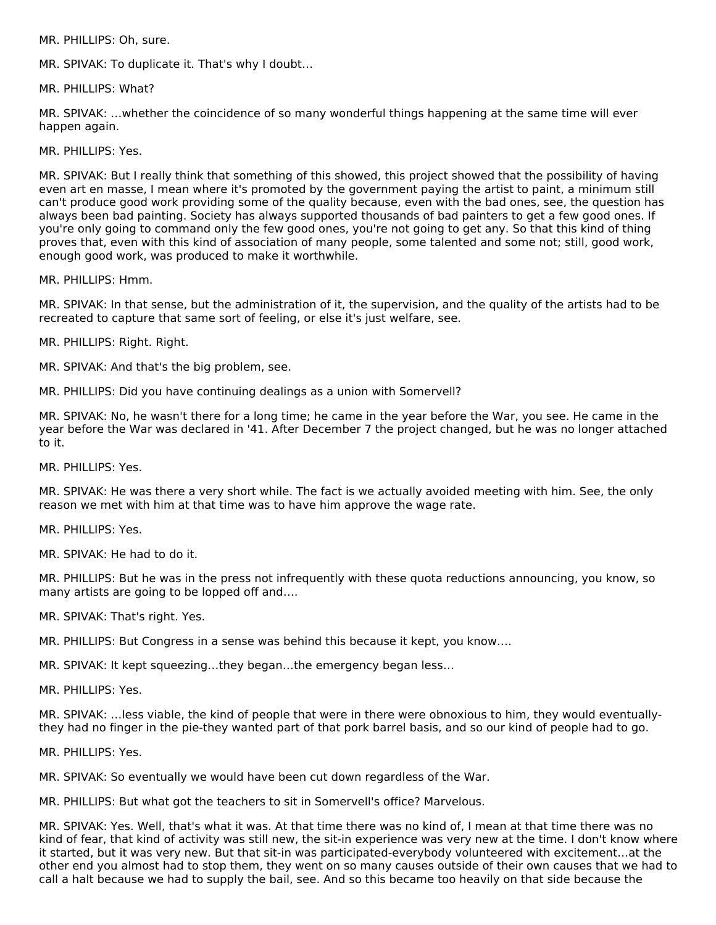MR. PHILLIPS: Oh, sure.

MR. SPIVAK: To duplicate it. That's why I doubt…

MR. PHILLIPS: What?

MR. SPIVAK: …whether the coincidence of so many wonderful things happening at the same time will ever happen again.

MR. PHILLIPS: Yes.

MR. SPIVAK: But I really think that something of this showed, this project showed that the possibility of having even art en masse, I mean where it's promoted by the government paying the artist to paint, a minimum still can't produce good work providing some of the quality because, even with the bad ones, see, the question has always been bad painting. Society has always supported thousands of bad painters to get a few good ones. If you're only going to command only the few good ones, you're not going to get any. So that this kind of thing proves that, even with this kind of association of many people, some talented and some not; still, good work, enough good work, was produced to make it worthwhile.

MR. PHILLIPS: Hmm.

MR. SPIVAK: In that sense, but the administration of it, the supervision, and the quality of the artists had to be recreated to capture that same sort of feeling, or else it's just welfare, see.

MR. PHILLIPS: Right. Right.

MR. SPIVAK: And that's the big problem, see.

MR. PHILLIPS: Did you have continuing dealings as a union with Somervell?

MR. SPIVAK: No, he wasn't there for a long time; he came in the year before the War, you see. He came in the year before the War was declared in '41. After December 7 the project changed, but he was no longer attached to it.

MR. PHILLIPS: Yes.

MR. SPIVAK: He was there a very short while. The fact is we actually avoided meeting with him. See, the only reason we met with him at that time was to have him approve the wage rate.

MR. PHILLIPS: Yes.

MR. SPIVAK: He had to do it.

MR. PHILLIPS: But he was in the press not infrequently with these quota reductions announcing, you know, so many artists are going to be lopped off and….

MR. SPIVAK: That's right. Yes.

MR. PHILLIPS: But Congress in a sense was behind this because it kept, you know….

MR. SPIVAK: It kept squeezing…they began…the emergency began less…

MR. PHILLIPS: Yes.

MR. SPIVAK: …less viable, the kind of people that were in there were obnoxious to him, they would eventuallythey had no finger in the pie-they wanted part of that pork barrel basis, and so our kind of people had to go.

MR. PHILLIPS: Yes.

MR. SPIVAK: So eventually we would have been cut down regardless of the War.

MR. PHILLIPS: But what got the teachers to sit in Somervell's office? Marvelous.

MR. SPIVAK: Yes. Well, that's what it was. At that time there was no kind of, I mean at that time there was no kind of fear, that kind of activity was still new, the sit-in experience was very new at the time. I don't know where it started, but it was very new. But that sit-in was participated-everybody volunteered with excitement…at the other end you almost had to stop them, they went on so many causes outside of their own causes that we had to call a halt because we had to supply the bail, see. And so this became too heavily on that side because the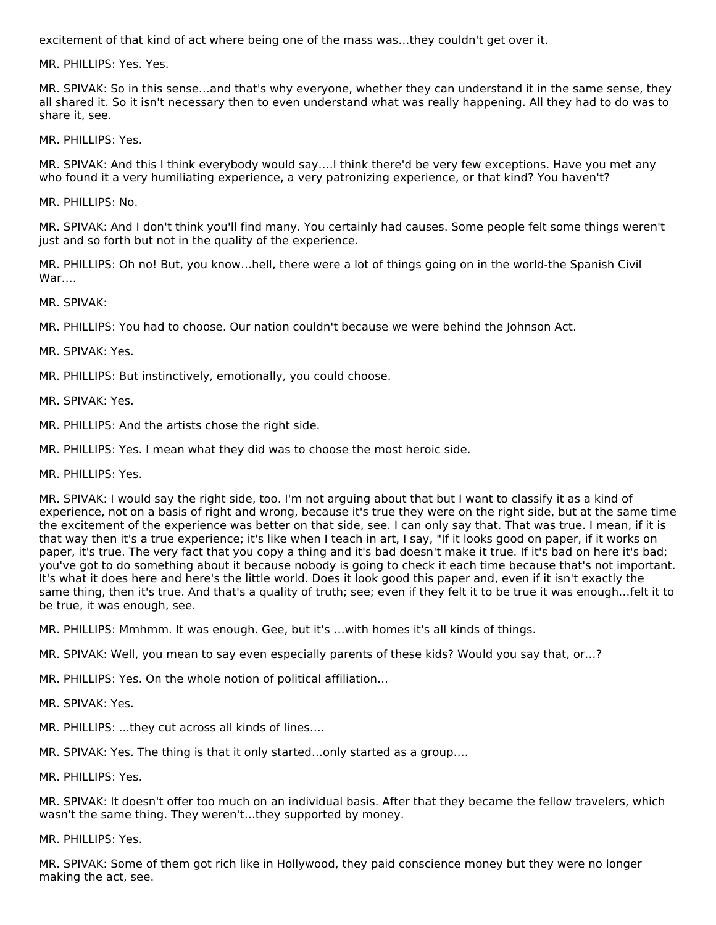excitement of that kind of act where being one of the mass was…they couldn't get over it.

MR. PHILLIPS: Yes. Yes.

MR. SPIVAK: So in this sense…and that's why everyone, whether they can understand it in the same sense, they all shared it. So it isn't necessary then to even understand what was really happening. All they had to do was to share it, see.

MR. PHILLIPS: Yes.

MR. SPIVAK: And this I think everybody would say….I think there'd be very few exceptions. Have you met any who found it a very humiliating experience, a very patronizing experience, or that kind? You haven't?

MR. PHILLIPS: No.

MR. SPIVAK: And I don't think you'll find many. You certainly had causes. Some people felt some things weren't just and so forth but not in the quality of the experience.

MR. PHILLIPS: Oh no! But, you know…hell, there were a lot of things going on in the world-the Spanish Civil War….

MR. SPIVAK:

MR. PHILLIPS: You had to choose. Our nation couldn't because we were behind the Johnson Act.

MR. SPIVAK: Yes.

MR. PHILLIPS: But instinctively, emotionally, you could choose.

MR. SPIVAK: Yes.

MR. PHILLIPS: And the artists chose the right side.

MR. PHILLIPS: Yes. I mean what they did was to choose the most heroic side.

MR. PHILLIPS: Yes.

MR. SPIVAK: I would say the right side, too. I'm not arguing about that but I want to classify it as a kind of experience, not on a basis of right and wrong, because it's true they were on the right side, but at the same time the excitement of the experience was better on that side, see. I can only say that. That was true. I mean, if it is that way then it's a true experience; it's like when I teach in art, I say, "If it looks good on paper, if it works on paper, it's true. The very fact that you copy a thing and it's bad doesn't make it true. If it's bad on here it's bad; you've got to do something about it because nobody is going to check it each time because that's not important. It's what it does here and here's the little world. Does it look good this paper and, even if it isn't exactly the same thing, then it's true. And that's a quality of truth; see; even if they felt it to be true it was enough…felt it to be true, it was enough, see.

MR. PHILLIPS: Mmhmm. It was enough. Gee, but it's …with homes it's all kinds of things.

MR. SPIVAK: Well, you mean to say even especially parents of these kids? Would you say that, or…?

MR. PHILLIPS: Yes. On the whole notion of political affiliation…

MR. SPIVAK: Yes.

MR. PHILLIPS: ...they cut across all kinds of lines….

MR. SPIVAK: Yes. The thing is that it only started…only started as a group….

MR. PHILLIPS: Yes.

MR. SPIVAK: It doesn't offer too much on an individual basis. After that they became the fellow travelers, which wasn't the same thing. They weren't…they supported by money.

MR. PHILLIPS: Yes.

MR. SPIVAK: Some of them got rich like in Hollywood, they paid conscience money but they were no longer making the act, see.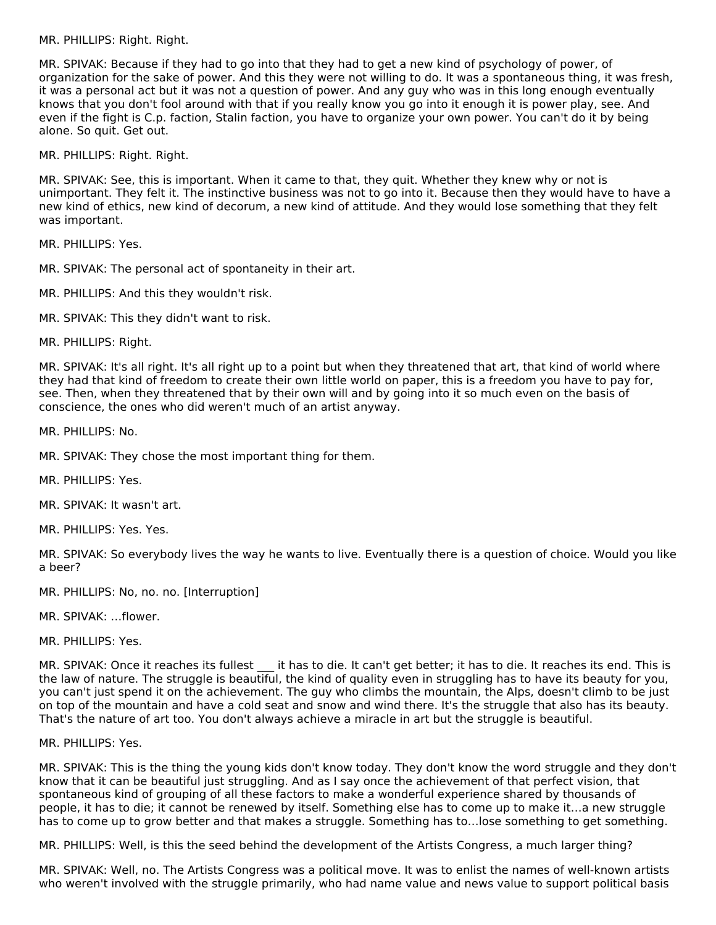MR. PHILLIPS: Right. Right.

MR. SPIVAK: Because if they had to go into that they had to get a new kind of psychology of power, of organization for the sake of power. And this they were not willing to do. It was a spontaneous thing, it was fresh, it was a personal act but it was not a question of power. And any guy who was in this long enough eventually knows that you don't fool around with that if you really know you go into it enough it is power play, see. And even if the fight is C.p. faction, Stalin faction, you have to organize your own power. You can't do it by being alone. So quit. Get out.

MR. PHILLIPS: Right. Right.

MR. SPIVAK: See, this is important. When it came to that, they quit. Whether they knew why or not is unimportant. They felt it. The instinctive business was not to go into it. Because then they would have to have a new kind of ethics, new kind of decorum, a new kind of attitude. And they would lose something that they felt was important.

MR. PHILLIPS: Yes.

MR. SPIVAK: The personal act of spontaneity in their art.

- MR. PHILLIPS: And this they wouldn't risk.
- MR. SPIVAK: This they didn't want to risk.

MR. PHILLIPS: Right.

MR. SPIVAK: It's all right. It's all right up to a point but when they threatened that art, that kind of world where they had that kind of freedom to create their own little world on paper, this is a freedom you have to pay for, see. Then, when they threatened that by their own will and by going into it so much even on the basis of conscience, the ones who did weren't much of an artist anyway.

MR. PHILLIPS: No.

MR. SPIVAK: They chose the most important thing for them.

MR. PHILLIPS: Yes.

MR. SPIVAK: It wasn't art.

MR. PHILLIPS: Yes. Yes.

MR. SPIVAK: So everybody lives the way he wants to live. Eventually there is a question of choice. Would you like a beer?

MR. PHILLIPS: No, no. no. [Interruption]

MR. SPIVAK: …flower.

MR. PHILLIPS: Yes.

MR. SPIVAK: Once it reaches its fullest it has to die. It can't get better; it has to die. It reaches its end. This is the law of nature. The struggle is beautiful, the kind of quality even in struggling has to have its beauty for you, you can't just spend it on the achievement. The guy who climbs the mountain, the Alps, doesn't climb to be just on top of the mountain and have a cold seat and snow and wind there. It's the struggle that also has its beauty. That's the nature of art too. You don't always achieve a miracle in art but the struggle is beautiful.

MR. PHILLIPS: Yes.

MR. SPIVAK: This is the thing the young kids don't know today. They don't know the word struggle and they don't know that it can be beautiful just struggling. And as I say once the achievement of that perfect vision, that spontaneous kind of grouping of all these factors to make a wonderful experience shared by thousands of people, it has to die; it cannot be renewed by itself. Something else has to come up to make it…a new struggle has to come up to grow better and that makes a struggle. Something has to…lose something to get something.

MR. PHILLIPS: Well, is this the seed behind the development of the Artists Congress, a much larger thing?

MR. SPIVAK: Well, no. The Artists Congress was a political move. It was to enlist the names of well-known artists who weren't involved with the struggle primarily, who had name value and news value to support political basis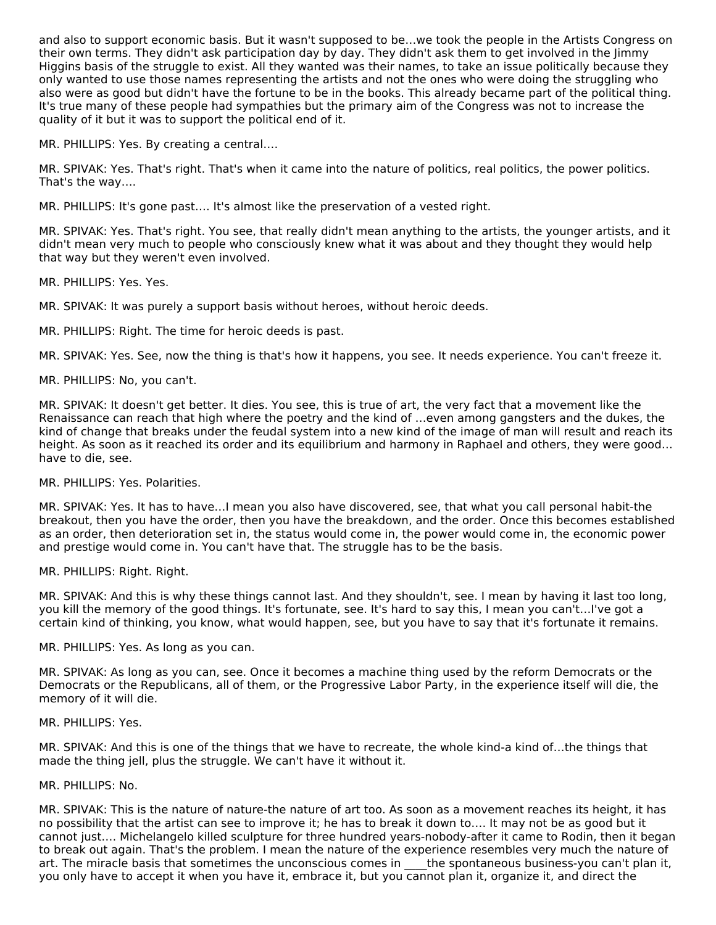and also to support economic basis. But it wasn't supposed to be…we took the people in the Artists Congress on their own terms. They didn't ask participation day by day. They didn't ask them to get involved in the Jimmy Higgins basis of the struggle to exist. All they wanted was their names, to take an issue politically because they only wanted to use those names representing the artists and not the ones who were doing the struggling who also were as good but didn't have the fortune to be in the books. This already became part of the political thing. It's true many of these people had sympathies but the primary aim of the Congress was not to increase the quality of it but it was to support the political end of it.

MR. PHILLIPS: Yes. By creating a central….

MR. SPIVAK: Yes. That's right. That's when it came into the nature of politics, real politics, the power politics. That's the way….

MR. PHILLIPS: It's gone past…. It's almost like the preservation of a vested right.

MR. SPIVAK: Yes. That's right. You see, that really didn't mean anything to the artists, the younger artists, and it didn't mean very much to people who consciously knew what it was about and they thought they would help that way but they weren't even involved.

MR. PHILLIPS: Yes. Yes.

MR. SPIVAK: It was purely a support basis without heroes, without heroic deeds.

MR. PHILLIPS: Right. The time for heroic deeds is past.

MR. SPIVAK: Yes. See, now the thing is that's how it happens, you see. It needs experience. You can't freeze it.

MR. PHILLIPS: No, you can't.

MR. SPIVAK: It doesn't get better. It dies. You see, this is true of art, the very fact that a movement like the Renaissance can reach that high where the poetry and the kind of …even among gangsters and the dukes, the kind of change that breaks under the feudal system into a new kind of the image of man will result and reach its height. As soon as it reached its order and its equilibrium and harmony in Raphael and others, they were good… have to die, see.

MR. PHILLIPS: Yes. Polarities.

MR. SPIVAK: Yes. It has to have…I mean you also have discovered, see, that what you call personal habit-the breakout, then you have the order, then you have the breakdown, and the order. Once this becomes established as an order, then deterioration set in, the status would come in, the power would come in, the economic power and prestige would come in. You can't have that. The struggle has to be the basis.

MR. PHILLIPS: Right. Right.

MR. SPIVAK: And this is why these things cannot last. And they shouldn't, see. I mean by having it last too long, you kill the memory of the good things. It's fortunate, see. It's hard to say this, I mean you can't…I've got a certain kind of thinking, you know, what would happen, see, but you have to say that it's fortunate it remains.

MR. PHILLIPS: Yes. As long as you can.

MR. SPIVAK: As long as you can, see. Once it becomes a machine thing used by the reform Democrats or the Democrats or the Republicans, all of them, or the Progressive Labor Party, in the experience itself will die, the memory of it will die.

MR. PHILLIPS: Yes.

MR. SPIVAK: And this is one of the things that we have to recreate, the whole kind-a kind of…the things that made the thing jell, plus the struggle. We can't have it without it.

#### MR. PHILLIPS: No.

MR. SPIVAK: This is the nature of nature-the nature of art too. As soon as a movement reaches its height, it has no possibility that the artist can see to improve it; he has to break it down to…. It may not be as good but it cannot just…. Michelangelo killed sculpture for three hundred years-nobody-after it came to Rodin, then it began to break out again. That's the problem. I mean the nature of the experience resembles very much the nature of art. The miracle basis that sometimes the unconscious comes in the spontaneous business-you can't plan it, you only have to accept it when you have it, embrace it, but you cannot plan it, organize it, and direct the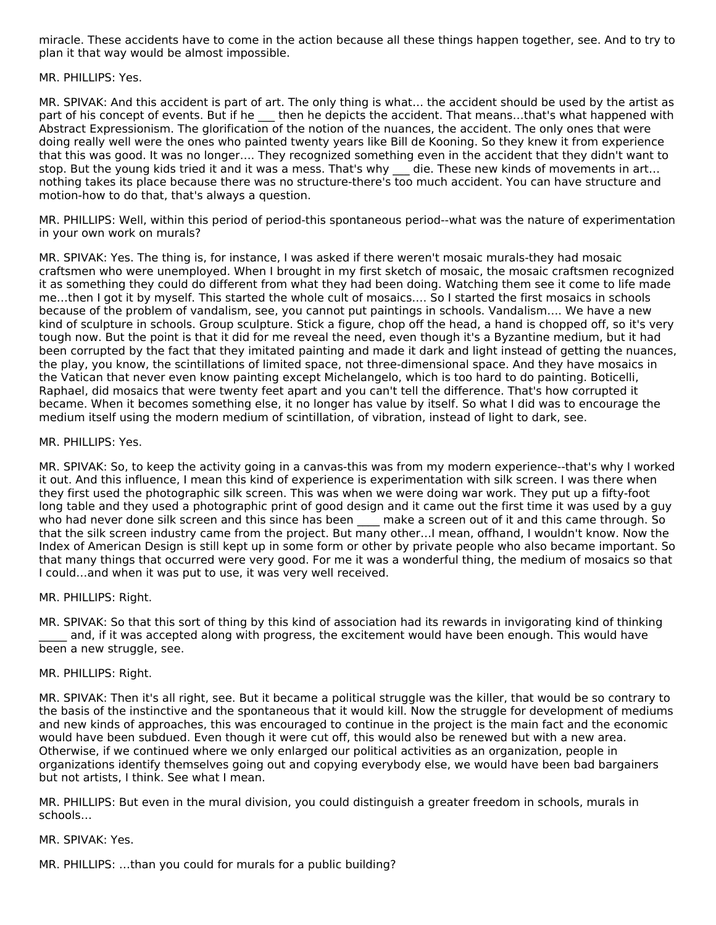miracle. These accidents have to come in the action because all these things happen together, see. And to try to plan it that way would be almost impossible.

MR. PHILLIPS: Yes.

MR. SPIVAK: And this accident is part of art. The only thing is what… the accident should be used by the artist as part of his concept of events. But if he then he depicts the accident. That means...that's what happened with Abstract Expressionism. The glorification of the notion of the nuances, the accident. The only ones that were doing really well were the ones who painted twenty years like Bill de Kooning. So they knew it from experience that this was good. It was no longer…. They recognized something even in the accident that they didn't want to stop. But the young kids tried it and it was a mess. That's why die. These new kinds of movements in art... nothing takes its place because there was no structure-there's too much accident. You can have structure and motion-how to do that, that's always a question.

MR. PHILLIPS: Well, within this period of period-this spontaneous period--what was the nature of experimentation in your own work on murals?

MR. SPIVAK: Yes. The thing is, for instance, I was asked if there weren't mosaic murals-they had mosaic craftsmen who were unemployed. When I brought in my first sketch of mosaic, the mosaic craftsmen recognized it as something they could do different from what they had been doing. Watching them see it come to life made me…then I got it by myself. This started the whole cult of mosaics…. So I started the first mosaics in schools because of the problem of vandalism, see, you cannot put paintings in schools. Vandalism…. We have a new kind of sculpture in schools. Group sculpture. Stick a figure, chop off the head, a hand is chopped off, so it's very tough now. But the point is that it did for me reveal the need, even though it's a Byzantine medium, but it had been corrupted by the fact that they imitated painting and made it dark and light instead of getting the nuances, the play, you know, the scintillations of limited space, not three-dimensional space. And they have mosaics in the Vatican that never even know painting except Michelangelo, which is too hard to do painting. Boticelli, Raphael, did mosaics that were twenty feet apart and you can't tell the difference. That's how corrupted it became. When it becomes something else, it no longer has value by itself. So what I did was to encourage the medium itself using the modern medium of scintillation, of vibration, instead of light to dark, see.

#### MR. PHILLIPS: Yes.

MR. SPIVAK: So, to keep the activity going in a canvas-this was from my modern experience--that's why I worked it out. And this influence, I mean this kind of experience is experimentation with silk screen. I was there when they first used the photographic silk screen. This was when we were doing war work. They put up a fifty-foot long table and they used a photographic print of good design and it came out the first time it was used by a guy who had never done silk screen and this since has been make a screen out of it and this came through. So that the silk screen industry came from the project. But many other…I mean, offhand, I wouldn't know. Now the Index of American Design is still kept up in some form or other by private people who also became important. So that many things that occurred were very good. For me it was a wonderful thing, the medium of mosaics so that I could…and when it was put to use, it was very well received.

#### MR. PHILLIPS: Right.

MR. SPIVAK: So that this sort of thing by this kind of association had its rewards in invigorating kind of thinking and, if it was accepted along with progress, the excitement would have been enough. This would have been a new struggle, see.

#### MR. PHILLIPS: Right.

MR. SPIVAK: Then it's all right, see. But it became a political struggle was the killer, that would be so contrary to the basis of the instinctive and the spontaneous that it would kill. Now the struggle for development of mediums and new kinds of approaches, this was encouraged to continue in the project is the main fact and the economic would have been subdued. Even though it were cut off, this would also be renewed but with a new area. Otherwise, if we continued where we only enlarged our political activities as an organization, people in organizations identify themselves going out and copying everybody else, we would have been bad bargainers but not artists, I think. See what I mean.

MR. PHILLIPS: But even in the mural division, you could distinguish a greater freedom in schools, murals in schools…

#### MR. SPIVAK: Yes.

MR. PHILLIPS: …than you could for murals for a public building?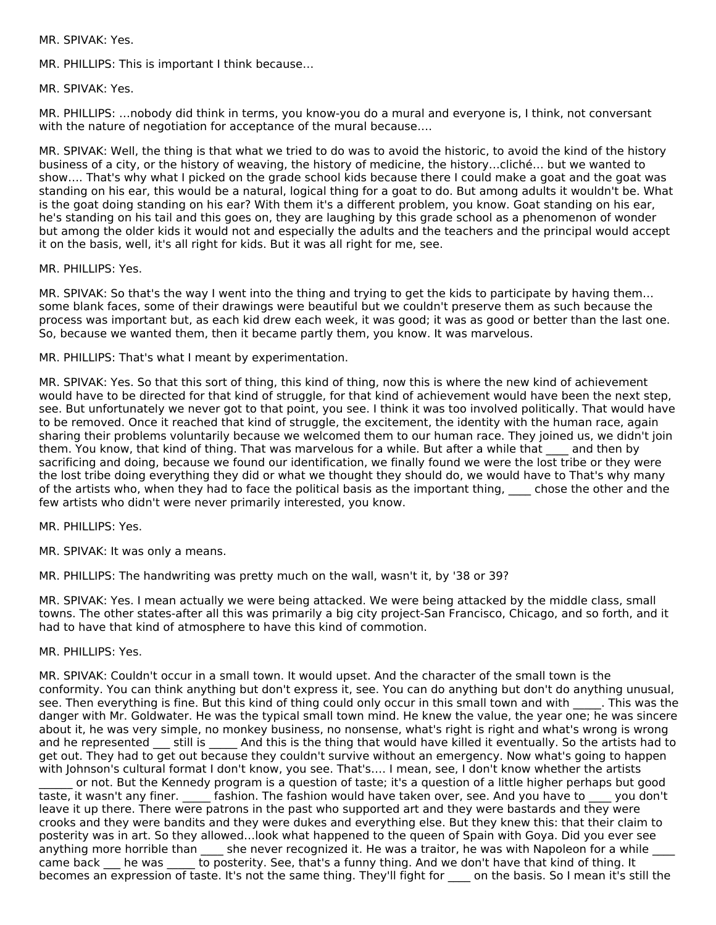MR. SPIVAK: Yes.

MR. PHILLIPS: This is important I think because…

MR. SPIVAK: Yes.

MR. PHILLIPS: …nobody did think in terms, you know-you do a mural and everyone is, I think, not conversant with the nature of negotiation for acceptance of the mural because….

MR. SPIVAK: Well, the thing is that what we tried to do was to avoid the historic, to avoid the kind of the history business of a city, or the history of weaving, the history of medicine, the history…cliché… but we wanted to show…. That's why what I picked on the grade school kids because there I could make a goat and the goat was standing on his ear, this would be a natural, logical thing for a goat to do. But among adults it wouldn't be. What is the goat doing standing on his ear? With them it's a different problem, you know. Goat standing on his ear, he's standing on his tail and this goes on, they are laughing by this grade school as a phenomenon of wonder but among the older kids it would not and especially the adults and the teachers and the principal would accept it on the basis, well, it's all right for kids. But it was all right for me, see.

MR. PHILLIPS: Yes.

MR. SPIVAK: So that's the way I went into the thing and trying to get the kids to participate by having them… some blank faces, some of their drawings were beautiful but we couldn't preserve them as such because the process was important but, as each kid drew each week, it was good; it was as good or better than the last one. So, because we wanted them, then it became partly them, you know. It was marvelous.

MR. PHILLIPS: That's what I meant by experimentation.

MR. SPIVAK: Yes. So that this sort of thing, this kind of thing, now this is where the new kind of achievement would have to be directed for that kind of struggle, for that kind of achievement would have been the next step, see. But unfortunately we never got to that point, you see. I think it was too involved politically. That would have to be removed. Once it reached that kind of struggle, the excitement, the identity with the human race, again sharing their problems voluntarily because we welcomed them to our human race. They joined us, we didn't join them. You know, that kind of thing. That was marvelous for a while. But after a while that and then by sacrificing and doing, because we found our identification, we finally found we were the lost tribe or they were the lost tribe doing everything they did or what we thought they should do, we would have to That's why many of the artists who, when they had to face the political basis as the important thing, chose the other and the few artists who didn't were never primarily interested, you know.

MR. PHILLIPS: Yes.

MR. SPIVAK: It was only a means.

MR. PHILLIPS: The handwriting was pretty much on the wall, wasn't it, by '38 or 39?

MR. SPIVAK: Yes. I mean actually we were being attacked. We were being attacked by the middle class, small towns. The other states-after all this was primarily a big city project-San Francisco, Chicago, and so forth, and it had to have that kind of atmosphere to have this kind of commotion.

MR. PHILLIPS: Yes.

MR. SPIVAK: Couldn't occur in a small town. It would upset. And the character of the small town is the conformity. You can think anything but don't express it, see. You can do anything but don't do anything unusual, see. Then everything is fine. But this kind of thing could only occur in this small town and with . This was the danger with Mr. Goldwater. He was the typical small town mind. He knew the value, the year one; he was sincere about it, he was very simple, no monkey business, no nonsense, what's right is right and what's wrong is wrong and he represented \_\_\_ still is \_\_\_\_\_ And this is the thing that would have killed it eventually. So the artists had to get out. They had to get out because they couldn't survive without an emergency. Now what's going to happen with Johnson's cultural format I don't know, you see. That's…. I mean, see, I don't know whether the artists

\_\_\_\_\_\_ or not. But the Kennedy program is a question of taste; it's a question of a little higher perhaps but good taste, it wasn't any finer. \_\_\_\_\_ fashion. The fashion would have taken over, see. And you have to \_\_\_\_ you don't leave it up there. There were patrons in the past who supported art and they were bastards and they were crooks and they were bandits and they were dukes and everything else. But they knew this: that their claim to posterity was in art. So they allowed…look what happened to the queen of Spain with Goya. Did you ever see anything more horrible than she never recognized it. He was a traitor, he was with Napoleon for a while came back \_\_\_ he was \_\_\_\_\_ to posterity. See, that's a funny thing. And we don't have that kind of thing. It becomes an expression of taste. It's not the same thing. They'll fight for on the basis. So I mean it's still the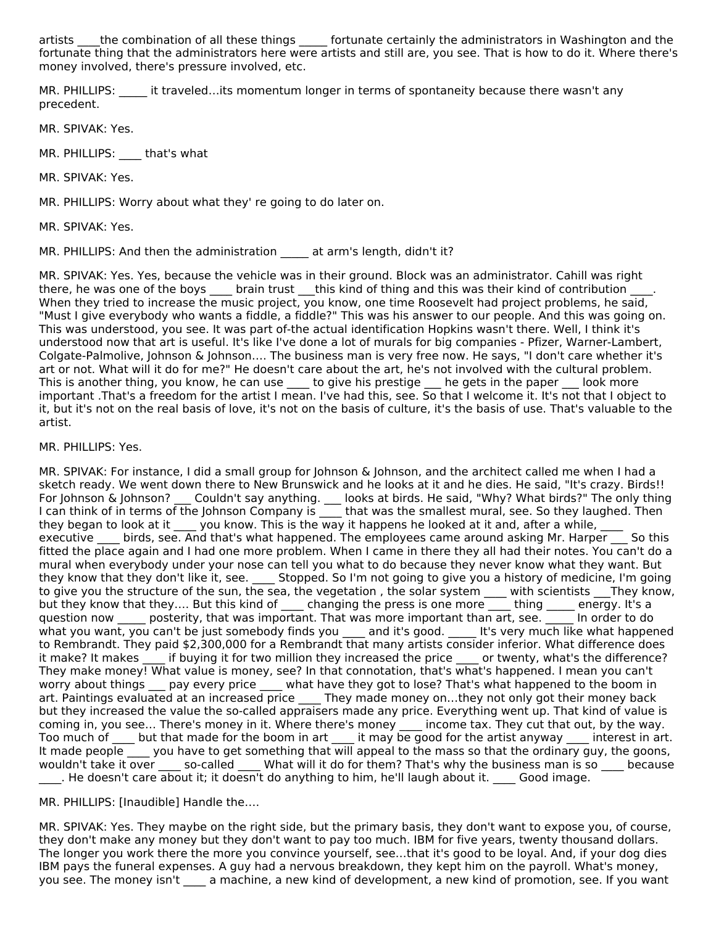artists the combination of all these things fortunate certainly the administrators in Washington and the fortunate thing that the administrators here were artists and still are, you see. That is how to do it. Where there's money involved, there's pressure involved, etc.

MR. PHILLIPS: it traveled…its momentum longer in terms of spontaneity because there wasn't any precedent.

MR. SPIVAK: Yes.

MR. PHILLIPS: \_\_\_\_ that's what

MR. SPIVAK: Yes.

MR. PHILLIPS: Worry about what they' re going to do later on.

MR. SPIVAK: Yes.

MR. PHILLIPS: And then the administration at arm's length, didn't it?

MR. SPIVAK: Yes. Yes, because the vehicle was in their ground. Block was an administrator. Cahill was right there, he was one of the boys \_\_\_\_ brain trust \_\_\_this kind of thing and this was their kind of contribution \_\_\_ When they tried to increase the music project, you know, one time Roosevelt had project problems, he said, "Must I give everybody who wants a fiddle, a fiddle?" This was his answer to our people. And this was going on. This was understood, you see. It was part of-the actual identification Hopkins wasn't there. Well, I think it's understood now that art is useful. It's like I've done a lot of murals for big companies - Pfizer, Warner-Lambert, Colgate-Palmolive, Johnson & Johnson…. The business man is very free now. He says, "I don't care whether it's art or not. What will it do for me?" He doesn't care about the art, he's not involved with the cultural problem. This is another thing, you know, he can use \_\_\_\_ to give his prestige \_\_\_ he gets in the paper \_\_\_ look more important .That's a freedom for the artist I mean. I've had this, see. So that I welcome it. It's not that I object to it, but it's not on the real basis of love, it's not on the basis of culture, it's the basis of use. That's valuable to the artist.

MR. PHILLIPS: Yes.

MR. SPIVAK: For instance, I did a small group for Johnson & Johnson, and the architect called me when I had a sketch ready. We went down there to New Brunswick and he looks at it and he dies. He said, "It's crazy. Birds!! For Johnson & Johnson? \_\_\_ Couldn't say anything. \_\_\_ looks at birds. He said, "Why? What birds?" The only thing I can think of in terms of the Johnson Company is  $\qquad$  that was the smallest mural, see. So they laughed. Then they began to look at it  $\_\_\,$  you know. This is the way it happens he looked at it and, after a while,  $\_\_\_\,\_\_\,$ executive birds, see. And that's what happened. The employees came around asking Mr. Harper go this fitted the place again and I had one more problem. When I came in there they all had their notes. You can't do a mural when everybody under your nose can tell you what to do because they never know what they want. But they know that they don't like it, see. \_\_\_\_ Stopped. So I'm not going to give you a history of medicine, I'm going to give you the structure of the sun, the sea, the vegetation , the solar system \_\_\_\_ with scientists \_\_\_They know, but they know that they…. But this kind of \_\_\_\_ changing the press is one more \_\_\_ thing \_\_\_\_\_ energy. It's a question now posterity, that was important. That was more important than art, see. The order to do what you want, you can't be just somebody finds you and it's good. Lit's very much like what happened to Rembrandt. They paid \$2,300,000 for a Rembrandt that many artists consider inferior. What difference does it make? It makes \_\_\_\_ if buying it for two million they increased the price \_\_\_\_ or twenty, what's the difference? They make money! What value is money, see? In that connotation, that's what's happened. I mean you can't worry about things \_\_\_ pay every price \_\_\_\_ what have they got to lose? That's what happened to the boom in art. Paintings evaluated at an increased price \_\_\_\_ They made money on…they not only got their money back but they increased the value the so-called appraisers made any price. Everything went up. That kind of value is coming in, you see... There's money in it. Where there's money \_\_\_\_ income tax. They cut that out, by the way. Too much of \_\_\_\_ but that made for the boom in art \_\_\_\_ it may be good for the artist anyway \_\_\_\_ interest in art. It made people you have to get something that will appeal to the mass so that the ordinary guy, the goons, wouldn't take it over \_\_\_\_\_ so-called \_\_\_\_ What will it do for them? That's why the business man is so \_\_\_\_ because \_\_\_\_. He doesn't care about it; it doesn't do anything to him, he'll laugh about it. \_\_\_\_ Good image.

MR. PHILLIPS: [Inaudible] Handle the….

MR. SPIVAK: Yes. They maybe on the right side, but the primary basis, they don't want to expose you, of course, they don't make any money but they don't want to pay too much. IBM for five years, twenty thousand dollars. The longer you work there the more you convince yourself, see…that it's good to be loyal. And, if your dog dies IBM pays the funeral expenses. A guy had a nervous breakdown, they kept him on the payroll. What's money, you see. The money isn't \_\_\_\_ a machine, a new kind of development, a new kind of promotion, see. If you want